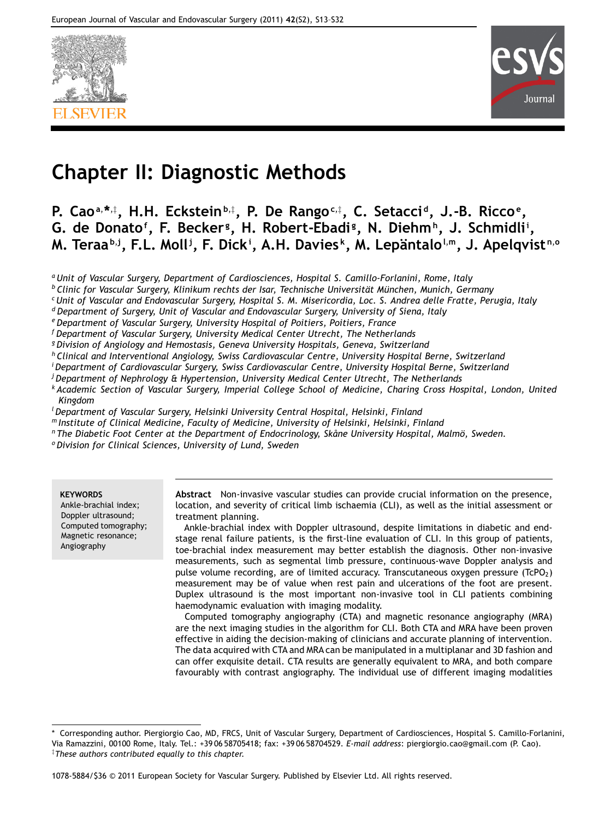



# Chapter II: Diagnostic Methods

## P. Caoa,\*,‡, H.H. Ecksteinb,‡, P. De Rangos,‡, C. Setaccid, J.-B. Riccoe, G. de Donatof, F. Becker<sup>g</sup>, H. Robert-Ebadi<sup>g</sup>, N. Diehmh, J. Schmidlii, M. Teraab,j, F.L. Mollj, F. Dicki, A.H. Daviesk, M. Lepäntalol,m, J. Apelqvist<sup>n,o</sup>

<sup>a</sup> Unit of Vascular Surgery, Department of Cardiosciences, Hospital S. Camillo-Forlanini, Rome, Italy

<sup>b</sup> Clinic for Vascular Surgery, Klinikum rechts der Isar, Technische Universität München, Munich, Germany

<sup>c</sup> Unit of Vascular and Endovascular Surgery, Hospital S. M. Misericordia, Loc. S. Andrea delle Fratte, Perugia, Italy

<sup>d</sup> Department of Surgery, Unit of Vascular and Endovascular Surgery, University of Siena, Italy

<sup>e</sup> Department of Vascular Surgery, University Hospital of Poitiers, Poitiers, France

f Department of Vascular Surgery, University Medical Center Utrecht, The Netherlands

<sup>g</sup> Division of Angiology and Hemostasis, Geneva University Hospitals, Geneva, Switzerland

<sup>h</sup> Clinical and Interventional Angiology, Swiss Cardiovascular Centre, University Hospital Berne, Switzerland

<sup>i</sup> Department of Cardiovascular Surgery, Swiss Cardiovascular Centre, University Hospital Berne, Switzerland

 $j$  Department of Nephrology & Hypertension, University Medical Center Utrecht, The Netherlands

<sup>k</sup> Academic Section of Vascular Surgery, Imperial College School of Medicine, Charing Cross Hospital, London, United Kingdom

<sup>*I*</sup> Department of Vascular Surgery, Helsinki University Central Hospital, Helsinki, Finland

- <sup>m</sup> Institute of Clinical Medicine, Faculty of Medicine, University of Helsinki, Helsinki, Finland
- n The Diabetic Foot Center at the Department of Endocrinology, Skåne University Hospital, Malmö, Sweden.

<sup>o</sup> Division for Clinical Sciences, University of Lund, Sweden

#### **KEYWORDS**

Ankle-brachial index; Doppler ultrasound; Computed tomography; Magnetic resonance; Angiography

Abstract Non-invasive vascular studies can provide crucial information on the presence, location, and severity of critical limb ischaemia (CLI), as well as the initial assessment or treatment planning.

Ankle-brachial index with Doppler ultrasound, despite limitations in diabetic and endstage renal failure patients, is the first-line evaluation of CLI. In this group of patients, toe-brachial index measurement may better establish the diagnosis. Other non-invasive measurements, such as segmental limb pressure, continuous-wave Doppler analysis and pulse volume recording, are of limited accuracy. Transcutaneous oxygen pressure  $(TcPO<sub>2</sub>)$ measurement may be of value when rest pain and ulcerations of the foot are present. Duplex ultrasound is the most important non-invasive tool in CLI patients combining haemodynamic evaluation with imaging modality.

Computed tomography angiography (CTA) and magnetic resonance angiography (MRA) are the next imaging studies in the algorithm for CLI. Both CTA and MRA have been proven effective in aiding the decision-making of clinicians and accurate planning of intervention. The data acquired with CTA and MRA can be manipulated in a multiplanar and 3D fashion and can offer exquisite detail. CTA results are generally equivalent to MRA, and both compare favourably with contrast angiography. The individual use of different imaging modalities

<sup>\*</sup> Corresponding author. Piergiorgio Cao, MD, FRCS, Unit of Vascular Surgery, Department of Cardiosciences, Hospital S. Camillo-Forlanini, Via Ramazzini, 00100 Rome, Italy. Tel.: +39 06 58705418; fax: +39 06 58704529. E-mail address: piergiorgio.cao@gmail.com (P. Cao).  $\overline{a}$ <sup>†</sup>These authors contributed equally to this chapter.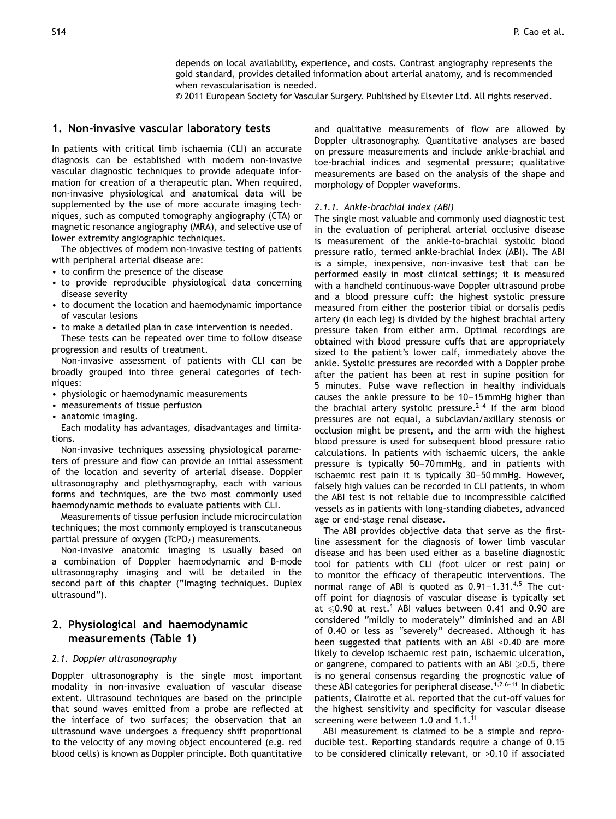depends on local availability, experience, and costs. Contrast angiography represents the gold standard, provides detailed information about arterial anatomy, and is recommended when revascularisation is needed.

© 2011 European Society for Vascular Surgery. Published by Elsevier Ltd. All rights reserved.

### 1. Non-invasive vascular laboratory tests

In patients with critical limb ischaemia (CLI) an accurate diagnosis can be established with modern non-invasive vascular diagnostic techniques to provide adequate information for creation of a therapeutic plan. When required, non-invasive physiological and anatomical data will be supplemented by the use of more accurate imaging techniques, such as computed tomography angiography (CTA) or magnetic resonance angiography (MRA), and selective use of lower extremity angiographic techniques.

The objectives of modern non-invasive testing of patients with peripheral arterial disease are:

- to confirm the presence of the disease
- to provide reproducible physiological data concerning disease severity
- to document the location and haemodynamic importance of vascular lesions
- to make a detailed plan in case intervention is needed.

These tests can be repeated over time to follow disease progression and results of treatment.

Non-invasive assessment of patients with CLI can be broadly grouped into three general categories of techniques:

- physiologic or haemodynamic measurements
- measurements of tissue perfusion
- anatomic imaging.

Each modality has advantages, disadvantages and limitations.

Non-invasive techniques assessing physiological parameters of pressure and flow can provide an initial assessment of the location and severity of arterial disease. Doppler ultrasonography and plethysmography, each with various forms and techniques, are the two most commonly used haemodynamic methods to evaluate patients with CLI.

Measurements of tissue perfusion include microcirculation techniques; the most commonly employed is transcutaneous partial pressure of oxygen  $(TcPO<sub>2</sub>)$  measurements.

Non-invasive anatomic imaging is usually based on a combination of Doppler haemodynamic and B-mode ultrasonography imaging and will be detailed in the second part of this chapter ("Imaging techniques. Duplex ultrasound").

### 2. Physiological and haemodynamic measurements (Table 1)

#### 2.1. Doppler ultrasonography

Doppler ultrasonography is the single most important modality in non-invasive evaluation of vascular disease extent. Ultrasound techniques are based on the principle that sound waves emitted from a probe are reflected at the interface of two surfaces; the observation that an ultrasound wave undergoes a frequency shift proportional to the velocity of any moving object encountered (e.g. red blood cells) is known as Doppler principle. Both quantitative

and qualitative measurements of flow are allowed by Doppler ultrasonography. Quantitative analyses are based on pressure measurements and include ankle-brachial and toe-brachial indices and segmental pressure; qualitative measurements are based on the analysis of the shape and morphology of Doppler waveforms.

#### 2.1.1. Ankle-brachial index (ABI)

The single most valuable and commonly used diagnostic test in the evaluation of peripheral arterial occlusive disease is measurement of the ankle-to-brachial systolic blood pressure ratio, termed ankle-brachial index (ABI). The ABI is a simple, inexpensive, non-invasive test that can be performed easily in most clinical settings; it is measured with a handheld continuous-wave Doppler ultrasound probe and a blood pressure cuff: the highest systolic pressure measured from either the posterior tibial or dorsalis pedis artery (in each leg) is divided by the highest brachial artery pressure taken from either arm. Optimal recordings are obtained with blood pressure cuffs that are appropriately sized to the patient's lower calf, immediately above the ankle. Systolic pressures are recorded with a Doppler probe after the patient has been at rest in supine position for 5 minutes. Pulse wave reflection in healthy individuals causes the ankle pressure to be 10-15 mmHg higher than the brachial artery systolic pressure.<sup>2-4</sup> If the arm blood pressures are not equal, a subclavian/axillary stenosis or occlusion might be present, and the arm with the highest blood pressure is used for subsequent blood pressure ratio calculations. In patients with ischaemic ulcers, the ankle pressure is typically 50–70 mmHg, and in patients with ischaemic rest pain it is typically 30–50 mmHg. However, falsely high values can be recorded in CLI patients, in whom the ABI test is not reliable due to incompressible calcified vessels as in patients with long-standing diabetes, advanced age or end-stage renal disease.

The ABI provides objective data that serve as the firstline assessment for the diagnosis of lower limb vascular disease and has been used either as a baseline diagnostic tool for patients with CLI (foot ulcer or rest pain) or to monitor the efficacy of therapeutic interventions. The normal range of ABI is quoted as  $0.91-1.31.^{4,5}$  The cutoff point for diagnosis of vascular disease is typically set at  $\leqslant$ 0.90 at rest.<sup>1</sup> ABI values between 0.41 and 0.90 are considered "mildly to moderately" diminished and an ABI of 0.40 or less as "severely" decreased. Although it has been suggested that patients with an ABI <0.40 are more likely to develop ischaemic rest pain, ischaemic ulceration, or gangrene, compared to patients with an ABI  $\geq 0.5$ , there is no general consensus regarding the prognostic value of these ABI categories for peripheral disease.<sup>1,2,6-11</sup> In diabetic patients, Clairotte et al. reported that the cut-off values for the highest sensitivity and specificity for vascular disease screening were between 1.0 and 1.1.<sup>11</sup>

ABI measurement is claimed to be a simple and reproducible test. Reporting standards require a change of 0.15 to be considered clinically relevant, or >0.10 if associated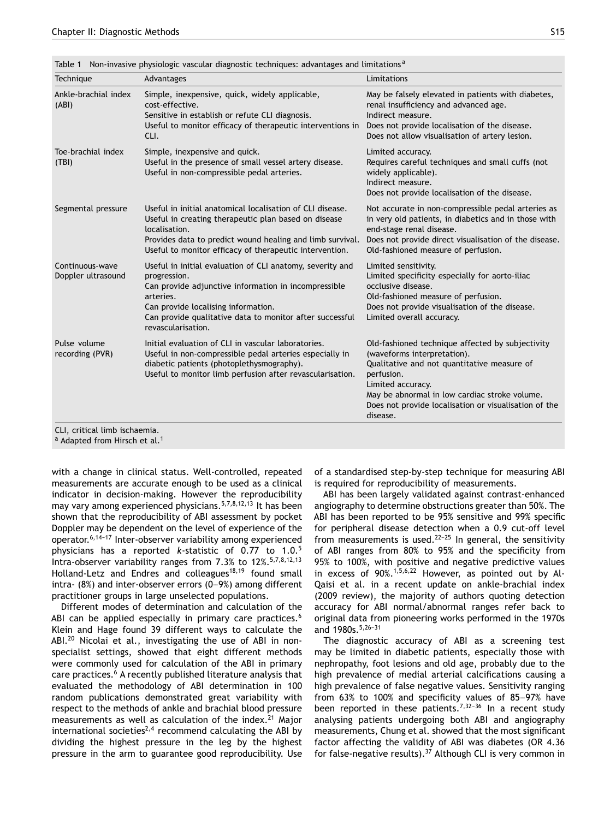| Technique                             | Advantages                                                                                                                                                                                                                                                              | Limitations                                                                                                                                                                                                                                                                             |
|---------------------------------------|-------------------------------------------------------------------------------------------------------------------------------------------------------------------------------------------------------------------------------------------------------------------------|-----------------------------------------------------------------------------------------------------------------------------------------------------------------------------------------------------------------------------------------------------------------------------------------|
| Ankle-brachial index<br>(ABI)         | Simple, inexpensive, quick, widely applicable,<br>cost-effective.<br>Sensitive in establish or refute CLI diagnosis.<br>Useful to monitor efficacy of therapeutic interventions in<br>CLI.                                                                              | May be falsely elevated in patients with diabetes,<br>renal insufficiency and advanced age.<br>Indirect measure.<br>Does not provide localisation of the disease.<br>Does not allow visualisation of artery lesion.                                                                     |
| Toe-brachial index<br>(TBI)           | Simple, inexpensive and quick.<br>Useful in the presence of small vessel artery disease.<br>Useful in non-compressible pedal arteries.                                                                                                                                  | Limited accuracy.<br>Requires careful techniques and small cuffs (not<br>widely applicable).<br>Indirect measure.<br>Does not provide localisation of the disease.                                                                                                                      |
| Segmental pressure                    | Useful in initial anatomical localisation of CLI disease.<br>Useful in creating therapeutic plan based on disease<br>localisation.<br>Provides data to predict wound healing and limb survival.<br>Useful to monitor efficacy of therapeutic intervention.              | Not accurate in non-compressible pedal arteries as<br>in very old patients, in diabetics and in those with<br>end-stage renal disease.<br>Does not provide direct visualisation of the disease.<br>Old-fashioned measure of perfusion.                                                  |
| Continuous-wave<br>Doppler ultrasound | Useful in initial evaluation of CLI anatomy, severity and<br>progression.<br>Can provide adjunctive information in incompressible<br>arteries.<br>Can provide localising information.<br>Can provide qualitative data to monitor after successful<br>revascularisation. | Limited sensitivity.<br>Limited specificity especially for aorto-iliac<br>occlusive disease.<br>Old-fashioned measure of perfusion.<br>Does not provide visualisation of the disease.<br>Limited overall accuracy.                                                                      |
| Pulse volume<br>recording (PVR)       | Initial evaluation of CLI in vascular laboratories.<br>Useful in non-compressible pedal arteries especially in<br>diabetic patients (photoplethysmography).<br>Useful to monitor limb perfusion after revascularisation.                                                | Old-fashioned technique affected by subjectivity<br>(waveforms interpretation).<br>Qualitative and not quantitative measure of<br>perfusion.<br>Limited accuracy.<br>May be abnormal in low cardiac stroke volume.<br>Does not provide localisation or visualisation of the<br>disease. |

Table 1 Non-invasive physiologic vascular diagnostic techniques: advantages and limitations <sup>a</sup>

<sup>a</sup> Adapted from Hirsch et al.<sup>1</sup>

with a change in clinical status. Well-controlled, repeated measurements are accurate enough to be used as a clinical indicator in decision-making. However the reproducibility may vary among experienced physicians.<sup>5,7,8,12,13</sup> It has been shown that the reproducibility of ABI assessment by pocket Doppler may be dependent on the level of experience of the operator. $6,14-17$  Inter-observer variability among experienced physicians has a reported k-statistic of 0.77 to 1.0.5 Intra-observer variability ranges from 7.3% to 12%.<sup>5,7,8,12,13</sup> Holland-Letz and Endres and colleagues<sup>18,19</sup> found small intra-  $(8%)$  and inter-observer errors  $(0-9%)$  among different practitioner groups in large unselected populations.

Different modes of determination and calculation of the ABI can be applied especially in primary care practices.<sup>6</sup> Klein and Hage found 39 different ways to calculate the ABI.<sup>20</sup> Nicolai et al., investigating the use of ABI in nonspecialist settings, showed that eight different methods were commonly used for calculation of the ABI in primary care practices.<sup>6</sup> A recently published literature analysis that evaluated the methodology of ABI determination in 100 random publications demonstrated great variability with respect to the methods of ankle and brachial blood pressure measurements as well as calculation of the index. $21$  Major international societies<sup>2,4</sup> recommend calculating the ABI by dividing the highest pressure in the leg by the highest pressure in the arm to guarantee good reproducibility. Use

of a standardised step-by-step technique for measuring ABI is required for reproducibility of measurements.

ABI has been largely validated against contrast-enhanced angiography to determine obstructions greater than 50%. The ABI has been reported to be 95% sensitive and 99% specific for peripheral disease detection when a 0.9 cut-off level from measurements is used.<sup>22-25</sup> In general, the sensitivity of ABI ranges from 80% to 95% and the specificity from 95% to 100%, with positive and negative predictive values in excess of  $90\%$ <sup>1,5,6,22</sup> However, as pointed out by Al-Qaisi et al. in a recent update on ankle-brachial index (2009 review), the majority of authors quoting detection accuracy for ABI normal/abnormal ranges refer back to original data from pioneering works performed in the 1970s and 1980s.<sup>5,26-31</sup>

The diagnostic accuracy of ABI as a screening test may be limited in diabetic patients, especially those with nephropathy, foot lesions and old age, probably due to the high prevalence of medial arterial calcifications causing a high prevalence of false negative values. Sensitivity ranging from 63% to 100% and specificity values of 85-97% have been reported in these patients.<sup>7,32-36</sup> In a recent study analysing patients undergoing both ABI and angiography measurements, Chung et al. showed that the most significant factor affecting the validity of ABI was diabetes (OR 4.36 for false-negative results). $37$  Although CLI is very common in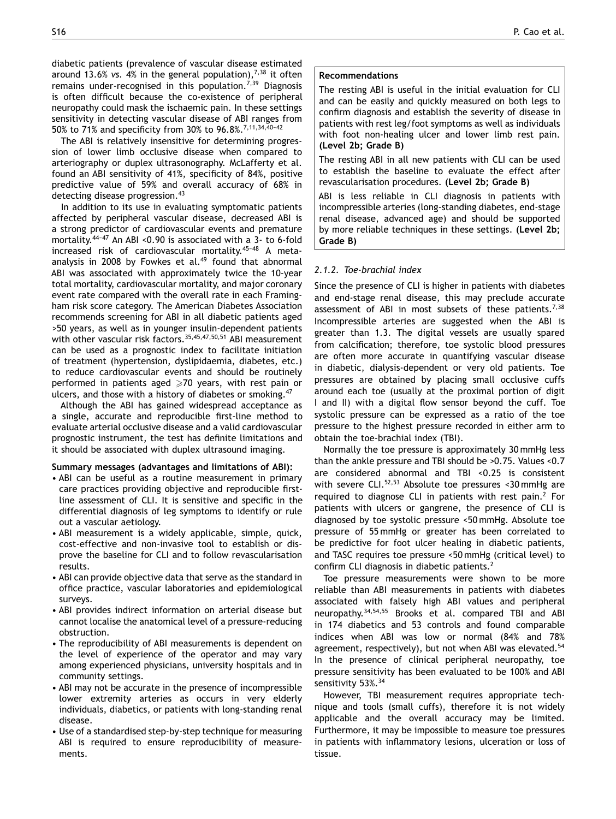diabetic patients (prevalence of vascular disease estimated around 13.6% vs. 4% in the general population), $7,38$  it often remains under-recognised in this population.<sup>7,39</sup> Diagnosis is often difficult because the co-existence of peripheral neuropathy could mask the ischaemic pain. In these settings sensitivity in detecting vascular disease of ABI ranges from 50% to 71% and specificity from 30% to 96.8%.<sup>7,11,34,40-42</sup>

The ABI is relatively insensitive for determining progression of lower limb occlusive disease when compared to arteriography or duplex ultrasonography. McLafferty et al. found an ABI sensitivity of 41%, specificity of 84%, positive predictive value of 59% and overall accuracy of 68% in detecting disease progression.<sup>43</sup>

In addition to its use in evaluating symptomatic patients affected by peripheral vascular disease, decreased ABI is a strong predictor of cardiovascular events and premature mortality.<sup>44-47</sup> An ABI <0.90 is associated with a 3- to 6-fold increased risk of cardiovascular mortality.<sup>45-48</sup> A metaanalysis in 2008 by Fowkes et al. $49$  found that abnormal ABI was associated with approximately twice the 10-year total mortality, cardiovascular mortality, and major coronary event rate compared with the overall rate in each Framingham risk score category. The American Diabetes Association recommends screening for ABI in all diabetic patients aged >50 years, as well as in younger insulin-dependent patients with other vascular risk factors.<sup>35,45,47,50,51</sup> ABI measurement can be used as a prognostic index to facilitate initiation of treatment (hypertension, dyslipidaemia, diabetes, etc.) to reduce cardiovascular events and should be routinely performed in patients aged  $\geqslant$  70 years, with rest pain or ulcers, and those with a history of diabetes or smoking.<sup>47</sup>

Although the ABI has gained widespread acceptance as a single, accurate and reproducible first-line method to evaluate arterial occlusive disease and a valid cardiovascular prognostic instrument, the test has definite limitations and it should be associated with duplex ultrasound imaging.

### Summary messages (advantages and limitations of ABI):

- ABI can be useful as a routine measurement in primary care practices providing objective and reproducible firstline assessment of CLI. It is sensitive and specific in the differential diagnosis of leg symptoms to identify or rule out a vascular aetiology.
- ABI measurement is a widely applicable, simple, quick, cost-effective and non-invasive tool to establish or disprove the baseline for CLI and to follow revascularisation results.
- ABI can provide objective data that serve as the standard in office practice, vascular laboratories and epidemiological surveys.
- ABI provides indirect information on arterial disease but cannot localise the anatomical level of a pressure-reducing obstruction.
- The reproducibility of ABI measurements is dependent on the level of experience of the operator and may vary among experienced physicians, university hospitals and in community settings.
- ABI may not be accurate in the presence of incompressible lower extremity arteries as occurs in very elderly individuals, diabetics, or patients with long-standing renal disease.
- Use of a standardised step-by-step technique for measuring ABI is required to ensure reproducibility of measurements.

### Recommendations

The resting ABI is useful in the initial evaluation for CLI and can be easily and quickly measured on both legs to confirm diagnosis and establish the severity of disease in patients with rest leg/foot symptoms as well as individuals with foot non-healing ulcer and lower limb rest pain. (Level 2b; Grade B)

The resting ABI in all new patients with CLI can be used to establish the baseline to evaluate the effect after revascularisation procedures. (Level 2b; Grade B)

ABI is less reliable in CLI diagnosis in patients with incompressible arteries (long-standing diabetes, end-stage renal disease, advanced age) and should be supported by more reliable techniques in these settings. (Level 2b; Grade B)

#### 2.1.2. Toe-brachial index

Since the presence of CLI is higher in patients with diabetes and end-stage renal disease, this may preclude accurate assessment of ABI in most subsets of these patients.<sup>7,38</sup> Incompressible arteries are suggested when the ABI is greater than 1.3. The digital vessels are usually spared from calcification; therefore, toe systolic blood pressures are often more accurate in quantifying vascular disease in diabetic, dialysis-dependent or very old patients. Toe pressures are obtained by placing small occlusive cuffs around each toe (usually at the proximal portion of digit I and II) with a digital flow sensor beyond the cuff. Toe systolic pressure can be expressed as a ratio of the toe pressure to the highest pressure recorded in either arm to obtain the toe-brachial index (TBI).

Normally the toe pressure is approximately 30 mmHg less than the ankle pressure and TBI should be >0.75. Values <0.7 are considered abnormal and TBI <0.25 is consistent with severe CLI.<sup>52,53</sup> Absolute toe pressures <30 mmHg are required to diagnose CLI in patients with rest pain. $2$  For patients with ulcers or gangrene, the presence of CLI is diagnosed by toe systolic pressure <50 mmHg. Absolute toe pressure of 55 mmHg or greater has been correlated to be predictive for foot ulcer healing in diabetic patients, and TASC requires toe pressure <50 mmHg (critical level) to confirm CLI diagnosis in diabetic patients.<sup>2</sup>

Toe pressure measurements were shown to be more reliable than ABI measurements in patients with diabetes associated with falsely high ABI values and peripheral neuropathy.34,54,55 Brooks et al. compared TBI and ABI in 174 diabetics and 53 controls and found comparable indices when ABI was low or normal (84% and 78% agreement, respectively), but not when ABI was elevated.<sup>54</sup> In the presence of clinical peripheral neuropathy, toe pressure sensitivity has been evaluated to be 100% and ABI sensitivity 53%.<sup>34</sup>

However, TBI measurement requires appropriate technique and tools (small cuffs), therefore it is not widely applicable and the overall accuracy may be limited. Furthermore, it may be impossible to measure toe pressures in patients with inflammatory lesions, ulceration or loss of tissue.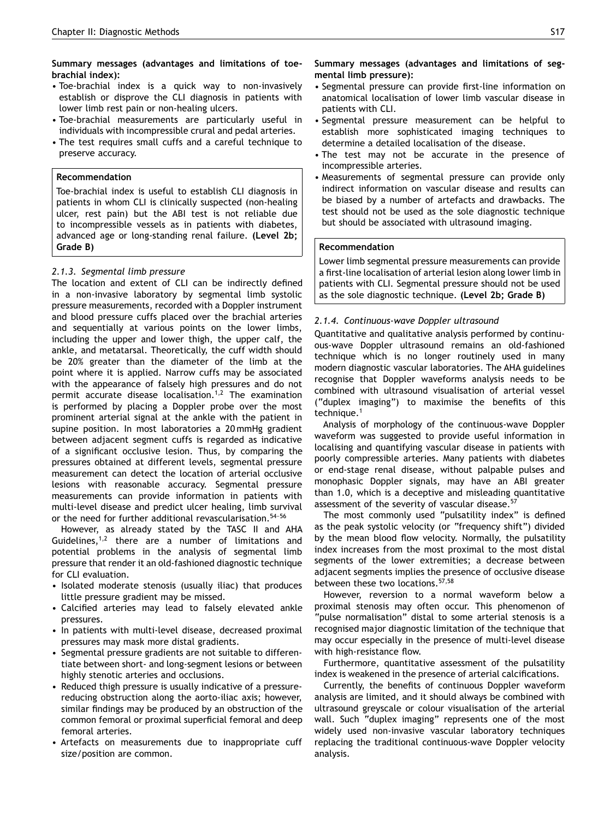Summary messages (advantages and limitations of toebrachial index):

- Toe-brachial index is a quick way to non-invasively establish or disprove the CLI diagnosis in patients with lower limb rest pain or non-healing ulcers.
- Toe-brachial measurements are particularly useful in individuals with incompressible crural and pedal arteries.
- The test requires small cuffs and a careful technique to preserve accuracy.

### Recommendation

Toe-brachial index is useful to establish CLI diagnosis in patients in whom CLI is clinically suspected (non-healing ulcer, rest pain) but the ABI test is not reliable due to incompressible vessels as in patients with diabetes, advanced age or long-standing renal failure. (Level 2b; Grade B)

### 2.1.3. Segmental limb pressure

The location and extent of CLI can be indirectly defined in a non-invasive laboratory by segmental limb systolic pressure measurements, recorded with a Doppler instrument and blood pressure cuffs placed over the brachial arteries and sequentially at various points on the lower limbs, including the upper and lower thigh, the upper calf, the ankle, and metatarsal. Theoretically, the cuff width should be 20% greater than the diameter of the limb at the point where it is applied. Narrow cuffs may be associated with the appearance of falsely high pressures and do not permit accurate disease localisation.<sup>1,2</sup> The examination is performed by placing a Doppler probe over the most prominent arterial signal at the ankle with the patient in supine position. In most laboratories a 20 mmHg gradient between adjacent segment cuffs is regarded as indicative of a significant occlusive lesion. Thus, by comparing the pressures obtained at different levels, segmental pressure measurement can detect the location of arterial occlusive lesions with reasonable accuracy. Segmental pressure measurements can provide information in patients with multi-level disease and predict ulcer healing, limb survival or the need for further additional revascularisation. 54-56

However, as already stated by the TASC II and AHA Guidelines,<sup>1,2</sup> there are a number of limitations and potential problems in the analysis of segmental limb pressure that render it an old-fashioned diagnostic technique for CLI evaluation.

- Isolated moderate stenosis (usually iliac) that produces little pressure gradient may be missed.
- Calcified arteries may lead to falsely elevated ankle pressures.
- In patients with multi-level disease, decreased proximal pressures may mask more distal gradients.
- Segmental pressure gradients are not suitable to differentiate between short- and long-segment lesions or between highly stenotic arteries and occlusions.
- Reduced thigh pressure is usually indicative of a pressurereducing obstruction along the aorto-iliac axis; however, similar findings may be produced by an obstruction of the common femoral or proximal superficial femoral and deep femoral arteries.
- Artefacts on measurements due to inappropriate cuff size/position are common.

Summary messages (advantages and limitations of segmental limb pressure):

- Segmental pressure can provide first-line information on anatomical localisation of lower limb vascular disease in patients with CLI.
- Segmental pressure measurement can be helpful to establish more sophisticated imaging techniques to determine a detailed localisation of the disease.
- The test may not be accurate in the presence of incompressible arteries.
- Measurements of segmental pressure can provide only indirect information on vascular disease and results can be biased by a number of artefacts and drawbacks. The test should not be used as the sole diagnostic technique but should be associated with ultrasound imaging.

### Recommendation

Lower limb segmental pressure measurements can provide a first-line localisation of arterial lesion along lower limb in patients with CLI. Segmental pressure should not be used as the sole diagnostic technique. (Level 2b; Grade B)

### 2.1.4. Continuous-wave Doppler ultrasound

Quantitative and qualitative analysis performed by continuous-wave Doppler ultrasound remains an old-fashioned technique which is no longer routinely used in many modern diagnostic vascular laboratories. The AHA guidelines recognise that Doppler waveforms analysis needs to be combined with ultrasound visualisation of arterial vessel ("duplex imaging") to maximise the benefits of this technique.<sup>1</sup>

Analysis of morphology of the continuous-wave Doppler waveform was suggested to provide useful information in localising and quantifying vascular disease in patients with poorly compressible arteries. Many patients with diabetes or end-stage renal disease, without palpable pulses and monophasic Doppler signals, may have an ABI greater than 1.0, which is a deceptive and misleading quantitative assessment of the severity of vascular disease.<sup>57</sup>

The most commonly used "pulsatility index" is defined as the peak systolic velocity (or "frequency shift") divided by the mean blood flow velocity. Normally, the pulsatility index increases from the most proximal to the most distal segments of the lower extremities; a decrease between adjacent segments implies the presence of occlusive disease between these two locations.<sup>57,58</sup>

However, reversion to a normal waveform below a proximal stenosis may often occur. This phenomenon of "pulse normalisation" distal to some arterial stenosis is a recognised major diagnostic limitation of the technique that may occur especially in the presence of multi-level disease with high-resistance flow.

Furthermore, quantitative assessment of the pulsatility index is weakened in the presence of arterial calcifications.

Currently, the benefits of continuous Doppler waveform analysis are limited, and it should always be combined with ultrasound greyscale or colour visualisation of the arterial wall. Such "duplex imaging" represents one of the most widely used non-invasive vascular laboratory techniques replacing the traditional continuous-wave Doppler velocity analysis.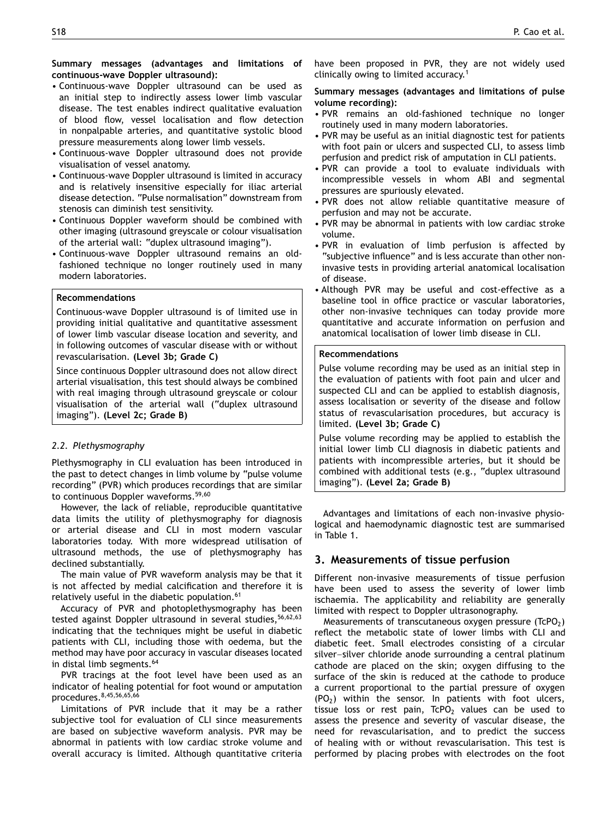Summary messages (advantages and limitations of continuous-wave Doppler ultrasound):

- Continuous-wave Doppler ultrasound can be used as an initial step to indirectly assess lower limb vascular disease. The test enables indirect qualitative evaluation of blood flow, vessel localisation and flow detection in nonpalpable arteries, and quantitative systolic blood pressure measurements along lower limb vessels.
- Continuous-wave Doppler ultrasound does not provide visualisation of vessel anatomy.
- Continuous-wave Doppler ultrasound is limited in accuracy and is relatively insensitive especially for iliac arterial disease detection. "Pulse normalisation" downstream from stenosis can diminish test sensitivity.
- Continuous Doppler waveform should be combined with other imaging (ultrasound greyscale or colour visualisation of the arterial wall: "duplex ultrasound imaging").
- Continuous-wave Doppler ultrasound remains an oldfashioned technique no longer routinely used in many modern laboratories.

### Recommendations

Continuous-wave Doppler ultrasound is of limited use in providing initial qualitative and quantitative assessment of lower limb vascular disease location and severity, and in following outcomes of vascular disease with or without revascularisation. (Level 3b; Grade C)

Since continuous Doppler ultrasound does not allow direct arterial visualisation, this test should always be combined with real imaging through ultrasound greyscale or colour visualisation of the arterial wall ("duplex ultrasound imaging"). (Level 2c; Grade B)

### 2.2. Plethysmography

Plethysmography in CLI evaluation has been introduced in the past to detect changes in limb volume by "pulse volume recording" (PVR) which produces recordings that are similar to continuous Doppler waveforms.<sup>59,60</sup>

However, the lack of reliable, reproducible quantitative data limits the utility of plethysmography for diagnosis or arterial disease and CLI in most modern vascular laboratories today. With more widespread utilisation of ultrasound methods, the use of plethysmography has declined substantially.

The main value of PVR waveform analysis may be that it is not affected by medial calcification and therefore it is relatively useful in the diabetic population.<sup>61</sup>

Accuracy of PVR and photoplethysmography has been tested against Doppler ultrasound in several studies,  $56,62,63$ indicating that the techniques might be useful in diabetic patients with CLI, including those with oedema, but the method may have poor accuracy in vascular diseases located in distal limb segments.<sup>64</sup>

PVR tracings at the foot level have been used as an indicator of healing potential for foot wound or amputation procedures.8,45,56,65,66

Limitations of PVR include that it may be a rather subjective tool for evaluation of CLI since measurements are based on subjective waveform analysis. PVR may be abnormal in patients with low cardiac stroke volume and overall accuracy is limited. Although quantitative criteria have been proposed in PVR, they are not widely used clinically owing to limited accuracy.1

### Summary messages (advantages and limitations of pulse volume recording):

- PVR remains an old-fashioned technique no longer routinely used in many modern laboratories.
- PVR may be useful as an initial diagnostic test for patients with foot pain or ulcers and suspected CLI, to assess limb perfusion and predict risk of amputation in CLI patients.
- PVR can provide a tool to evaluate individuals with incompressible vessels in whom ABI and segmental pressures are spuriously elevated.
- PVR does not allow reliable quantitative measure of perfusion and may not be accurate.
- PVR may be abnormal in patients with low cardiac stroke volume.
- PVR in evaluation of limb perfusion is affected by "subjective influence" and is less accurate than other noninvasive tests in providing arterial anatomical localisation of disease.
- Although PVR may be useful and cost-effective as a baseline tool in office practice or vascular laboratories, other non-invasive techniques can today provide more quantitative and accurate information on perfusion and anatomical localisation of lower limb disease in CLI.

### Recommendations

Pulse volume recording may be used as an initial step in the evaluation of patients with foot pain and ulcer and suspected CLI and can be applied to establish diagnosis, assess localisation or severity of the disease and follow status of revascularisation procedures, but accuracy is limited. (Level 3b; Grade C)

Pulse volume recording may be applied to establish the initial lower limb CLI diagnosis in diabetic patients and patients with incompressible arteries, but it should be combined with additional tests (e.g., "duplex ultrasound imaging"). (Level 2a; Grade B)

Advantages and limitations of each non-invasive physiological and haemodynamic diagnostic test are summarised in Table 1.

### 3. Measurements of tissue perfusion

Different non-invasive measurements of tissue perfusion have been used to assess the severity of lower limb ischaemia. The applicability and reliability are generally limited with respect to Doppler ultrasonography.

Measurements of transcutaneous oxygen pressure  $(TCPO<sub>2</sub>)$ reflect the metabolic state of lower limbs with CLI and diabetic feet. Small electrodes consisting of a circular silver-silver chloride anode surrounding a central platinum cathode are placed on the skin; oxygen diffusing to the surface of the skin is reduced at the cathode to produce a current proportional to the partial pressure of oxygen  $(PO<sub>2</sub>)$  within the sensor. In patients with foot ulcers, tissue loss or rest pain,  $TCPO<sub>2</sub>$  values can be used to assess the presence and severity of vascular disease, the need for revascularisation, and to predict the success of healing with or without revascularisation. This test is performed by placing probes with electrodes on the foot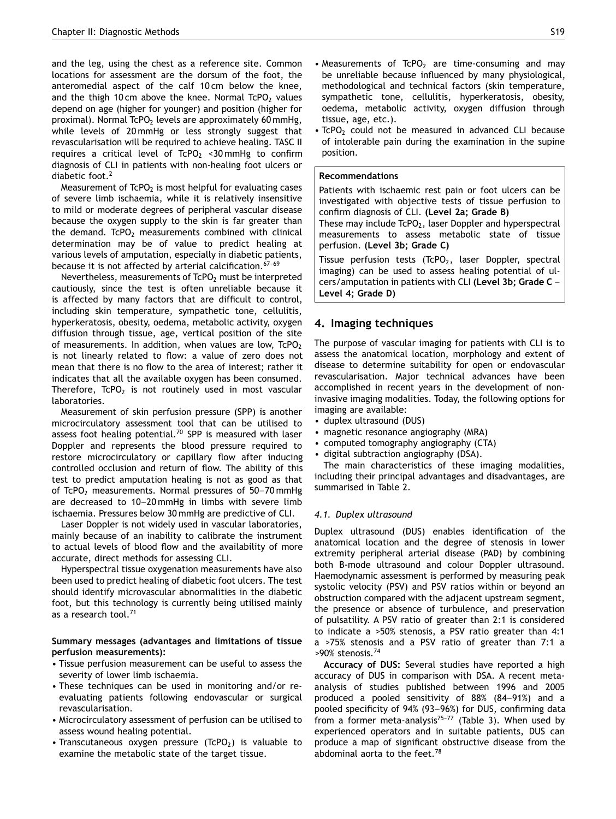and the leg, using the chest as a reference site. Common locations for assessment are the dorsum of the foot, the anteromedial aspect of the calf 10 cm below the knee, and the thigh 10 cm above the knee. Normal  $TCPO<sub>2</sub>$  values depend on age (higher for younger) and position (higher for proximal). Normal  $TePO<sub>2</sub>$  levels are approximately 60 mmHg, while levels of 20 mmHg or less strongly suggest that revascularisation will be required to achieve healing. TASC II requires a critical level of  $TCPO<sub>2</sub> < 30$  mmHg to confirm diagnosis of CLI in patients with non-healing foot ulcers or diabetic foot.<sup>2</sup>

Measurement of  $TCPO<sub>2</sub>$  is most helpful for evaluating cases of severe limb ischaemia, while it is relatively insensitive to mild or moderate degrees of peripheral vascular disease because the oxygen supply to the skin is far greater than the demand.  $TCPO<sub>2</sub>$  measurements combined with clinical determination may be of value to predict healing at various levels of amputation, especially in diabetic patients, because it is not affected by arterial calcification. $67-69$ 

Nevertheless, measurements of  $TCPO<sub>2</sub>$  must be interpreted cautiously, since the test is often unreliable because it is affected by many factors that are difficult to control, including skin temperature, sympathetic tone, cellulitis, hyperkeratosis, obesity, oedema, metabolic activity, oxygen diffusion through tissue, age, vertical position of the site of measurements. In addition, when values are low,  $TePO<sub>2</sub>$ is not linearly related to flow: a value of zero does not mean that there is no flow to the area of interest; rather it indicates that all the available oxygen has been consumed. Therefore,  $TCPO<sub>2</sub>$  is not routinely used in most vascular laboratories.

Measurement of skin perfusion pressure (SPP) is another microcirculatory assessment tool that can be utilised to assess foot healing potential.<sup>70</sup> SPP is measured with laser Doppler and represents the blood pressure required to restore microcirculatory or capillary flow after inducing controlled occlusion and return of flow. The ability of this test to predict amputation healing is not as good as that of TcPO<sub>2</sub> measurements. Normal pressures of  $50-70$  mmHg are decreased to 10–20 mmHg in limbs with severe limb ischaemia. Pressures below 30 mmHg are predictive of CLI.

Laser Doppler is not widely used in vascular laboratories, mainly because of an inability to calibrate the instrument to actual levels of blood flow and the availability of more accurate, direct methods for assessing CLI.

Hyperspectral tissue oxygenation measurements have also been used to predict healing of diabetic foot ulcers. The test should identify microvascular abnormalities in the diabetic foot, but this technology is currently being utilised mainly as a research tool.<sup>71</sup>

### Summary messages (advantages and limitations of tissue perfusion measurements):

- Tissue perfusion measurement can be useful to assess the severity of lower limb ischaemia.
- These techniques can be used in monitoring and/or reevaluating patients following endovascular or surgical revascularisation.
- Microcirculatory assessment of perfusion can be utilised to assess wound healing potential.
- Transcutaneous oxygen pressure  $(TcPO<sub>2</sub>)$  is valuable to examine the metabolic state of the target tissue.
- Measurements of  $TCPO<sub>2</sub>$  are time-consuming and may be unreliable because influenced by many physiological, methodological and technical factors (skin temperature, sympathetic tone, cellulitis, hyperkeratosis, obesity, oedema, metabolic activity, oxygen diffusion through tissue, age, etc.).
- TcPO<sub>2</sub> could not be measured in advanced CLI because of intolerable pain during the examination in the supine position.

### Recommendations

Patients with ischaemic rest pain or foot ulcers can be investigated with objective tests of tissue perfusion to confirm diagnosis of CLI. (Level 2a; Grade B)

These may include  $TePO<sub>2</sub>$ , laser Doppler and hyperspectral measurements to assess metabolic state of tissue perfusion. (Level 3b; Grade C)

Tissue perfusion tests  $(TcPO<sub>2</sub>, laser Doppler, spectral)$ imaging) can be used to assess healing potential of ulcers/amputation in patients with CLI (Level 3b; Grade C –– Level 4; Grade D)

### 4. Imaging techniques

The purpose of vascular imaging for patients with CLI is to assess the anatomical location, morphology and extent of disease to determine suitability for open or endovascular revascularisation. Major technical advances have been accomplished in recent years in the development of noninvasive imaging modalities. Today, the following options for imaging are available:

- duplex ultrasound (DUS)
- magnetic resonance angiography (MRA)
- computed tomography angiography (CTA)
- digital subtraction angiography (DSA).

The main characteristics of these imaging modalities, including their principal advantages and disadvantages, are summarised in Table 2.

#### 4.1. Duplex ultrasound

Duplex ultrasound (DUS) enables identification of the anatomical location and the degree of stenosis in lower extremity peripheral arterial disease (PAD) by combining both B-mode ultrasound and colour Doppler ultrasound. Haemodynamic assessment is performed by measuring peak systolic velocity (PSV) and PSV ratios within or beyond an obstruction compared with the adjacent upstream segment, the presence or absence of turbulence, and preservation of pulsatility. A PSV ratio of greater than 2:1 is considered to indicate a >50% stenosis, a PSV ratio greater than 4:1 a >75% stenosis and a PSV ratio of greater than 7:1 a >90% stenosis.74

Accuracy of DUS: Several studies have reported a high accuracy of DUS in comparison with DSA. A recent metaanalysis of studies published between 1996 and 2005 produced a pooled sensitivity of 88% (84-91%) and a pooled specificity of 94% (93-96%) for DUS, confirming data from a former meta-analysis<sup>75-77</sup> (Table 3). When used by experienced operators and in suitable patients, DUS can produce a map of significant obstructive disease from the abdominal aorta to the feet.<sup>78</sup>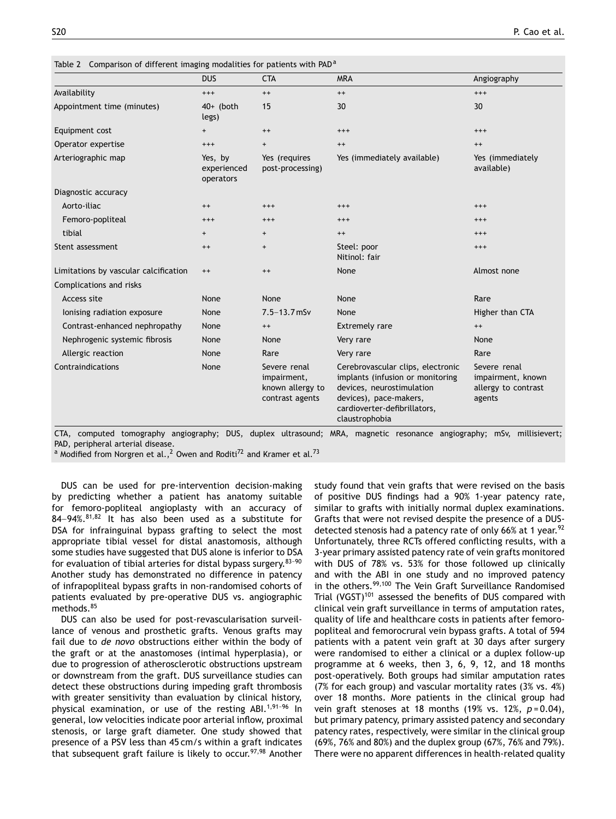|                                       | <b>DUS</b>                          | <b>CTA</b>                                                         | <b>MRA</b>                                                                                                                                                                     | Angiography                                                        |
|---------------------------------------|-------------------------------------|--------------------------------------------------------------------|--------------------------------------------------------------------------------------------------------------------------------------------------------------------------------|--------------------------------------------------------------------|
| Availability                          | $^{+++}$                            | $++$                                                               | $++$                                                                                                                                                                           | $^{+++}$                                                           |
| Appointment time (minutes)            | $40+$ (both<br>legs)                | 15                                                                 | 30                                                                                                                                                                             | 30                                                                 |
| Equipment cost                        | $\ddot{}$                           | $++$                                                               | $^{+++}$                                                                                                                                                                       | $^{+++}$                                                           |
| Operator expertise                    | $^{+++}$                            | $\ddot{}$                                                          | $++$                                                                                                                                                                           | $^{++}$                                                            |
| Arteriographic map                    | Yes, by<br>experienced<br>operators | Yes (requires<br>post-processing)                                  | Yes (immediately available)                                                                                                                                                    | Yes (immediately<br>available)                                     |
| Diagnostic accuracy                   |                                     |                                                                    |                                                                                                                                                                                |                                                                    |
| Aorto-iliac                           | $++$                                | $^{+++}$                                                           | $^{+++}$                                                                                                                                                                       | $^{+++}$                                                           |
| Femoro-popliteal                      | $^{+++}$                            | $^{+++}$                                                           | $^{+++}$                                                                                                                                                                       | $^{+++}$                                                           |
| tibial                                | $\ddot{}$                           | $+$                                                                | $^{++}$                                                                                                                                                                        | $^{+++}$                                                           |
| Stent assessment                      | $++$                                | $\ddot{}$                                                          | Steel: poor<br>Nitinol: fair                                                                                                                                                   | $^{+++}$                                                           |
| Limitations by vascular calcification | $++$                                | $++$                                                               | None                                                                                                                                                                           | Almost none                                                        |
| Complications and risks               |                                     |                                                                    |                                                                                                                                                                                |                                                                    |
| Access site                           | None                                | None                                                               | None                                                                                                                                                                           | Rare                                                               |
| lonising radiation exposure           | None                                | $7.5 - 13.7$ mSv                                                   | None                                                                                                                                                                           | Higher than CTA                                                    |
| Contrast-enhanced nephropathy         | None                                | $++$                                                               | <b>Extremely rare</b>                                                                                                                                                          | $^{++}$                                                            |
| Nephrogenic systemic fibrosis         | None                                | None                                                               | Very rare                                                                                                                                                                      | None                                                               |
| Allergic reaction                     | None                                | Rare                                                               | Very rare                                                                                                                                                                      | Rare                                                               |
| Contraindications                     | None                                | Severe renal<br>impairment,<br>known allergy to<br>contrast agents | Cerebrovascular clips, electronic<br>implants (infusion or monitoring<br>devices, neurostimulation<br>devices), pace-makers,<br>cardioverter-defibrillators,<br>claustrophobia | Severe renal<br>impairment, known<br>allergy to contrast<br>agents |

Table 2 Comparison of different imaging modalities for patients with PAD<sup>a</sup>

CTA, computed tomography angiography; DUS, duplex ultrasound; MRA, magnetic resonance angiography; mSv, millisievert; PAD, peripheral arterial disease.

<sup>a</sup> Modified from Norgren et al.,<sup>2</sup> Owen and Roditi<sup>72</sup> and Kramer et al.<sup>73</sup>

DUS can be used for pre-intervention decision-making by predicting whether a patient has anatomy suitable for femoro-popliteal angioplasty with an accuracy of  $84-94\%.$ <sup>81,82</sup> It has also been used as a substitute for DSA for infrainguinal bypass grafting to select the most appropriate tibial vessel for distal anastomosis, although some studies have suggested that DUS alone is inferior to DSA for evaluation of tibial arteries for distal bypass surgery.<sup>83-90</sup> Another study has demonstrated no difference in patency of infrapopliteal bypass grafts in non-randomised cohorts of patients evaluated by pre-operative DUS vs. angiographic methods.<sup>85</sup>

DUS can also be used for post-revascularisation surveillance of venous and prosthetic grafts. Venous grafts may fail due to de novo obstructions either within the body of the graft or at the anastomoses (intimal hyperplasia), or due to progression of atherosclerotic obstructions upstream or downstream from the graft. DUS surveillance studies can detect these obstructions during impeding graft thrombosis with greater sensitivity than evaluation by clinical history, physical examination, or use of the resting ABI.<sup>1,91-96</sup> In general, low velocities indicate poor arterial inflow, proximal stenosis, or large graft diameter. One study showed that presence of a PSV less than 45 cm/s within a graft indicates that subsequent graft failure is likely to occur.  $97,98$  Another

study found that vein grafts that were revised on the basis of positive DUS findings had a 90% 1-year patency rate, similar to grafts with initially normal duplex examinations. Grafts that were not revised despite the presence of a DUSdetected stenosis had a patency rate of only 66% at 1 year.  $92$ Unfortunately, three RCTs offered conflicting results, with a 3-year primary assisted patency rate of vein grafts monitored with DUS of 78% vs. 53% for those followed up clinically and with the ABI in one study and no improved patency in the others.<sup>99,100</sup> The Vein Graft Surveillance Randomised Trial (VGST)<sup>101</sup> assessed the benefits of DUS compared with clinical vein graft surveillance in terms of amputation rates, quality of life and healthcare costs in patients after femoropopliteal and femorocrural vein bypass grafts. A total of 594 patients with a patent vein graft at 30 days after surgery were randomised to either a clinical or a duplex follow-up programme at 6 weeks, then 3, 6, 9, 12, and 18 months post-operatively. Both groups had similar amputation rates (7% for each group) and vascular mortality rates (3% vs. 4%) over 18 months. More patients in the clinical group had vein graft stenoses at 18 months (19% vs. 12%,  $p = 0.04$ ), but primary patency, primary assisted patency and secondary patency rates, respectively, were similar in the clinical group (69%, 76% and 80%) and the duplex group (67%, 76% and 79%). There were no apparent differences in health-related quality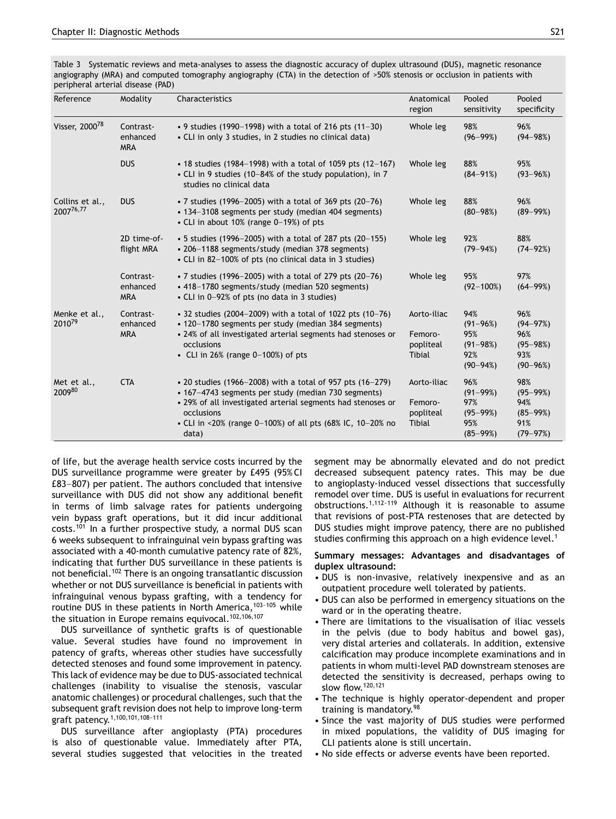Table 3 Systematic reviews and meta-analyses to assess the diagnostic accuracy of duplex ultrasound (DUS), magnetic resonance angiography (MRA) and computed tomography angiography (CTA) in the detection of >50% stenosis or occlusion in patients with peripheral arterial disease (PAD)

| Reference                           | Modality                            | Characteristics                                                                                                                                                                                                                                                      | Anatomical<br>region                                 | Pooled<br>sensitivity                                              | Pooled<br>specificity                                             |
|-------------------------------------|-------------------------------------|----------------------------------------------------------------------------------------------------------------------------------------------------------------------------------------------------------------------------------------------------------------------|------------------------------------------------------|--------------------------------------------------------------------|-------------------------------------------------------------------|
| Visser, 2000 <sup>78</sup>          | Contrast-<br>enhanced<br><b>MRA</b> | • 9 studies (1990–1998) with a total of 216 pts (11–30)<br>• CLI in only 3 studies, in 2 studies no clinical data)                                                                                                                                                   | Whole leg                                            | 98%<br>$(96 - 99%)$                                                | 96%<br>$(94 - 98%)$                                               |
|                                     | <b>DUS</b>                          | • 18 studies (1984–1998) with a total of 1059 pts (12–167)<br>• CLI in 9 studies (10-84% of the study population), in 7<br>studies no clinical data                                                                                                                  | Whole leg                                            | 88%<br>$(84 - 91\%)$                                               | 95%<br>$(93 - 96%)$                                               |
| Collins et al.,<br>200776,77        | <b>DUS</b>                          | • 7 studies (1996–2005) with a total of 369 pts (20–76)<br>• 134–3108 segments per study (median 404 segments)<br>• CLI in about 10% (range 0-19%) of pts                                                                                                            | Whole leg                                            | 88%<br>$(80 - 98%)$                                                | 96%<br>$(89 - 99%)$                                               |
|                                     | 2D time-of-<br>flight MRA           | • 5 studies (1996–2005) with a total of 287 pts (20–155)<br>• 206–1188 segments/study (median 378 segments)<br>• CLI in 82-100% of pts (no clinical data in 3 studies)                                                                                               | Whole leg                                            | 92%<br>$(79 - 94%)$                                                | 88%<br>$(74 - 92%)$                                               |
|                                     | Contrast-<br>enhanced<br><b>MRA</b> | • 7 studies (1996–2005) with a total of 279 pts (20–76)<br>• 418-1780 segments/study (median 520 segments)<br>• CLI in 0-92% of pts (no data in 3 studies)                                                                                                           | Whole leg                                            | 95%<br>$(92 - 100\%)$                                              | 97%<br>$(64 - 99%)$                                               |
| Menke et al.,<br>2010 <sup>79</sup> | Contrast-<br>enhanced<br><b>MRA</b> | • 32 studies (2004–2009) with a total of 1022 pts (10–76)<br>• 120–1780 segments per study (median 384 segments)<br>• 24% of all investigated arterial segments had stenoses or<br>occlusions<br>• CLI in 26% (range $0-100%$ ) of pts                               | Aorto-iliac<br>Femoro-<br>popliteal<br><b>Tibial</b> | 94%<br>$(91 - 96%)$<br>95%<br>$(91 - 98%)$<br>92%<br>$(90 - 94%)$  | 96%<br>$(94 - 97%)$<br>96%<br>$(95 - 98%)$<br>93%<br>$(90 - 96%)$ |
| Met et al.,<br>200980               | <b>CTA</b>                          | • 20 studies (1966–2008) with a total of 957 pts (16–279)<br>• 167–4743 segments per study (median 730 segments)<br>• 29% of all investigated arterial segments had stenoses or<br>occlusions<br>• CLI in <20% (range 0-100%) of all pts (68% IC, 10-20% no<br>data) | Aorto-iliac<br>Femoro-<br>popliteal<br><b>Tibial</b> | 96%<br>$(91 - 99\%)$<br>97%<br>$(95 - 99%)$<br>95%<br>$(85 - 99%)$ | 98%<br>$(95 - 99%)$<br>94%<br>$(85 - 99%)$<br>91%<br>$(79 - 97%)$ |

of life, but the average health service costs incurred by the DUS surveillance programme were greater by £495 (95% CI £83––807) per patient. The authors concluded that intensive surveillance with DUS did not show any additional benefit in terms of limb salvage rates for patients undergoing vein bypass graft operations, but it did incur additional costs.101 In a further prospective study, a normal DUS scan 6 weeks subsequent to infrainguinal vein bypass grafting was associated with a 40-month cumulative patency rate of 82%, indicating that further DUS surveillance in these patients is not beneficial.102 There is an ongoing transatlantic discussion whether or not DUS surveillance is beneficial in patients with infrainguinal venous bypass grafting, with a tendency for routine DUS in these patients in North America, <sup>103-105</sup> while the situation in Europe remains equivocal.<sup>102,106,107</sup>

DUS surveillance of synthetic grafts is of questionable value. Several studies have found no improvement in patency of grafts, whereas other studies have successfully detected stenoses and found some improvement in patency. This lack of evidence may be due to DUS-associated technical challenges (inability to visualise the stenosis, vascular anatomic challenges) or procedural challenges, such that the subsequent graft revision does not help to improve long-term graft patency.<sup>1,100,101,108-111</sup>

DUS surveillance after angioplasty (PTA) procedures is also of questionable value. Immediately after PTA, several studies suggested that velocities in the treated segment may be abnormally elevated and do not predict decreased subsequent patency rates. This may be due to angioplasty-induced vessel dissections that successfully remodel over time. DUS is useful in evaluations for recurrent obstructions.<sup>1,112-119</sup> Although it is reasonable to assume that revisions of post-PTA restenoses that are detected by DUS studies might improve patency, there are no published studies confirming this approach on a high evidence level.<sup>1</sup>

Summary messages: Advantages and disadvantages of duplex ultrasound:

- DUS is non-invasive, relatively inexpensive and as an outpatient procedure well tolerated by patients.
- DUS can also be performed in emergency situations on the ward or in the operating theatre.
- There are limitations to the visualisation of iliac vessels in the pelvis (due to body habitus and bowel gas), very distal arteries and collaterals. In addition, extensive calcification may produce incomplete examinations and in patients in whom multi-level PAD downstream stenoses are detected the sensitivity is decreased, perhaps owing to slow flow.120,121
- The technique is highly operator-dependent and proper training is mandatory.<sup>98</sup>
- Since the vast majority of DUS studies were performed in mixed populations, the validity of DUS imaging for CLI patients alone is still uncertain.
- No side effects or adverse events have been reported.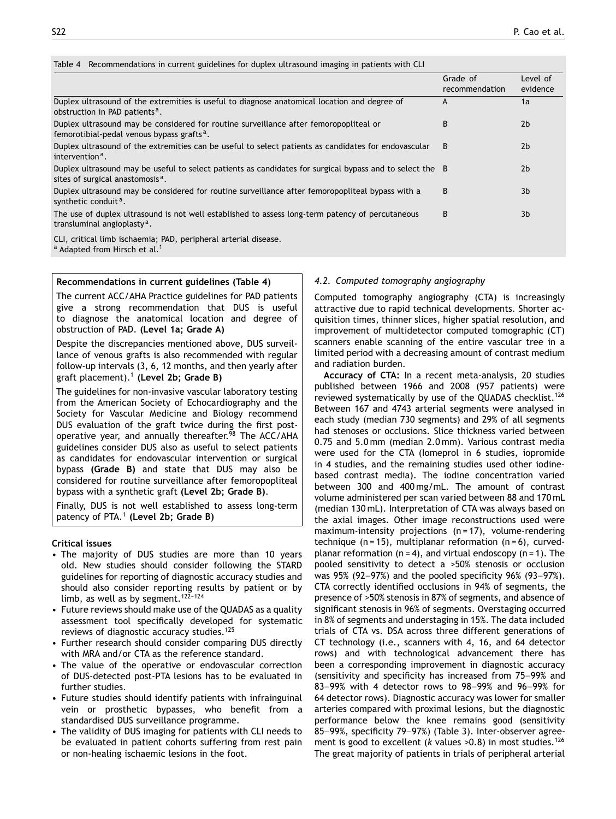| Table 4    Recommendations in current guidelines for duplex ultrasound imaging in patients with CLI |  |  |
|-----------------------------------------------------------------------------------------------------|--|--|
|                                                                                                     |  |  |

|                                                                                                                                                          | Grade of<br>recommendation | Level of<br>evidence |
|----------------------------------------------------------------------------------------------------------------------------------------------------------|----------------------------|----------------------|
| Duplex ultrasound of the extremities is useful to diagnose anatomical location and degree of<br>obstruction in PAD patients <sup>a</sup> .               | A                          | 1a                   |
| Duplex ultrasound may be considered for routine surveillance after femoropopliteal or<br>femorotibial-pedal venous bypass grafts <sup>a</sup> .          | B                          | 2 <sub>b</sub>       |
| Duplex ultrasound of the extremities can be useful to select patients as candidates for endovascular<br>intervention <sup>a</sup> .                      | B                          | 2 <sub>b</sub>       |
| Duplex ultrasound may be useful to select patients as candidates for surgical bypass and to select the B<br>sites of surgical anastomosis <sup>a</sup> . |                            | 2 <sub>b</sub>       |
| Duplex ultrasound may be considered for routine surveillance after femoropopliteal bypass with a<br>synthetic conduit <sup>a</sup> .                     | B                          | 3 <sub>b</sub>       |
| The use of duplex ultrasound is not well established to assess long-term patency of percutaneous<br>transluminal angioplasty <sup>a</sup> .              | B                          | 3 <sub>b</sub>       |
| CLI, critical limb ischaemia; PAD, peripheral arterial disease.<br><sup>a</sup> Adapted from Hirsch et al. <sup>1</sup>                                  |                            |                      |

#### Recommendations in current guidelines (Table 4)

The current ACC/AHA Practice guidelines for PAD patients give a strong recommendation that DUS is useful to diagnose the anatomical location and degree of obstruction of PAD. (Level 1a; Grade A)

Despite the discrepancies mentioned above, DUS surveillance of venous grafts is also recommended with regular follow-up intervals (3, 6, 12 months, and then yearly after graft placement).<sup>1</sup> (Level 2b; Grade B)

The guidelines for non-invasive vascular laboratory testing from the American Society of Echocardiography and the Society for Vascular Medicine and Biology recommend DUS evaluation of the graft twice during the first postoperative year, and annually thereafter. $98$  The ACC/AHA guidelines consider DUS also as useful to select patients as candidates for endovascular intervention or surgical bypass (Grade B) and state that DUS may also be considered for routine surveillance after femoropopliteal bypass with a synthetic graft (Level 2b; Grade B).

Finally, DUS is not well established to assess long-term patency of PTA.<sup>1</sup> (Level 2b; Grade B)

#### Critical issues

- The majority of DUS studies are more than 10 years old. New studies should consider following the STARD guidelines for reporting of diagnostic accuracy studies and should also consider reporting results by patient or by limb, as well as by segment. $122-124$
- Future reviews should make use of the QUADAS as a quality assessment tool specifically developed for systematic reviews of diagnostic accuracy studies.<sup>125</sup>
- Further research should consider comparing DUS directly with MRA and/or CTA as the reference standard.
- The value of the operative or endovascular correction of DUS-detected post-PTA lesions has to be evaluated in further studies.
- Future studies should identify patients with infrainguinal vein or prosthetic bypasses, who benefit from a standardised DUS surveillance programme.
- The validity of DUS imaging for patients with CLI needs to be evaluated in patient cohorts suffering from rest pain or non-healing ischaemic lesions in the foot.

#### 4.2. Computed tomography angiography

Computed tomography angiography (CTA) is increasingly attractive due to rapid technical developments. Shorter acquisition times, thinner slices, higher spatial resolution, and improvement of multidetector computed tomographic (CT) scanners enable scanning of the entire vascular tree in a limited period with a decreasing amount of contrast medium and radiation burden.

Accuracy of CTA: In a recent meta-analysis, 20 studies published between 1966 and 2008 (957 patients) were reviewed systematically by use of the QUADAS checklist.<sup>126</sup> Between 167 and 4743 arterial segments were analysed in each study (median 730 segments) and 29% of all segments had stenoses or occlusions. Slice thickness varied between 0.75 and 5.0 mm (median 2.0 mm). Various contrast media were used for the CTA (Iomeprol in 6 studies, iopromide in 4 studies, and the remaining studies used other iodinebased contrast media). The iodine concentration varied between 300 and 400 mg/mL. The amount of contrast volume administered per scan varied between 88 and 170 mL (median 130 mL). Interpretation of CTA was always based on the axial images. Other image reconstructions used were maximum-intensity projections (n = 17), volume-rendering technique  $(n = 15)$ , multiplanar reformation  $(n = 6)$ , curvedplanar reformation ( $n = 4$ ), and virtual endoscopy ( $n = 1$ ). The pooled sensitivity to detect a >50% stenosis or occlusion was  $95\%$  (92–97%) and the pooled specificity 96% (93–97%). CTA correctly identified occlusions in 94% of segments, the presence of >50% stenosis in 87% of segments, and absence of significant stenosis in 96% of segments. Overstaging occurred in 8% of segments and understaging in 15%. The data included trials of CTA vs. DSA across three different generations of CT technology (i.e., scanners with 4, 16, and 64 detector rows) and with technological advancement there has been a corresponding improvement in diagnostic accuracy (sensitivity and specificity has increased from 75-99% and 83––99% with 4 detector rows to 98––99% and 96––99% for 64 detector rows). Diagnostic accuracy was lower for smaller arteries compared with proximal lesions, but the diagnostic performance below the knee remains good (sensitivity 85–99%, specificity 79–97%) (Table 3). Inter-observer agreement is good to excellent (k values  $>0.8$ ) in most studies.<sup>126</sup> The great majority of patients in trials of peripheral arterial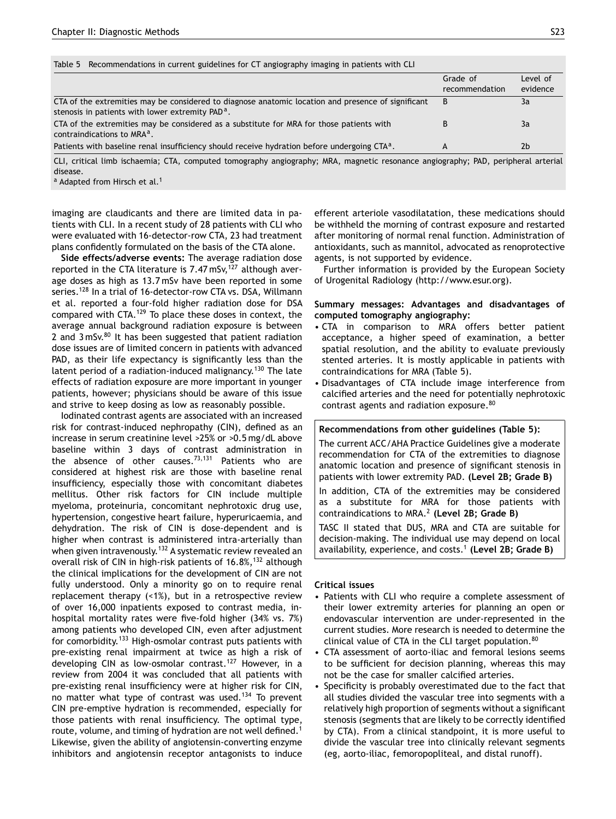| Table 5 Recommendations in Current guidelines for CT anglography imaging in patients with CLI                                                                      |                            |                      |
|--------------------------------------------------------------------------------------------------------------------------------------------------------------------|----------------------------|----------------------|
|                                                                                                                                                                    | Grade of<br>recommendation | Level of<br>evidence |
| CTA of the extremities may be considered to diagnose anatomic location and presence of significant<br>stenosis in patients with lower extremity PAD <sup>a</sup> . | B                          | 3a                   |
| CTA of the extremities may be considered as a substitute for MRA for those patients with<br>contraindications to MRA <sup>a</sup> .                                |                            | 3a                   |
| Patients with baseline renal insufficiency should receive hydration before undergoing CTA <sup>a</sup> .                                                           | А                          | 2b                   |
| CLI, critical limb ischaemia; CTA, computed tomography angiography; MRA, magnetic resonance angiography; PAD, peripheral arterial                                  |                            |                      |

Table 5 Recommendations in current guidelines for CT angiography imaging in patients with CLI

a Adapted from Hirsch et al.<sup>1</sup>

disease.

imaging are claudicants and there are limited data in patients with CLI. In a recent study of 28 patients with CLI who were evaluated with 16-detector-row CTA, 23 had treatment plans confidently formulated on the basis of the CTA alone.

Side effects/adverse events: The average radiation dose reported in the CTA literature is 7.47 mSv, $127$  although average doses as high as 13.7 mSv have been reported in some series.<sup>128</sup> In a trial of 16-detector-row CTA vs. DSA, Willmann et al. reported a four-fold higher radiation dose for DSA compared with CTA.129 To place these doses in context, the average annual background radiation exposure is between 2 and  $3 \text{ mSv}$ .<sup>80</sup> It has been suggested that patient radiation dose issues are of limited concern in patients with advanced PAD, as their life expectancy is significantly less than the latent period of a radiation-induced malignancy.<sup>130</sup> The late effects of radiation exposure are more important in younger patients, however; physicians should be aware of this issue and strive to keep dosing as low as reasonably possible.

Iodinated contrast agents are associated with an increased risk for contrast-induced nephropathy (CIN), defined as an increase in serum creatinine level >25% or >0.5 mg/dL above baseline within 3 days of contrast administration in the absence of other causes.<sup>73,131</sup> Patients who are considered at highest risk are those with baseline renal insufficiency, especially those with concomitant diabetes mellitus. Other risk factors for CIN include multiple myeloma, proteinuria, concomitant nephrotoxic drug use, hypertension, congestive heart failure, hyperuricaemia, and dehydration. The risk of CIN is dose-dependent and is higher when contrast is administered intra-arterially than when given intravenously.132 A systematic review revealed an overall risk of CIN in high-risk patients of 16.8%,132 although the clinical implications for the development of CIN are not fully understood. Only a minority go on to require renal replacement therapy (<1%), but in a retrospective review of over 16,000 inpatients exposed to contrast media, inhospital mortality rates were five-fold higher (34% vs. 7%) among patients who developed CIN, even after adjustment for comorbidity.133 High-osmolar contrast puts patients with pre-existing renal impairment at twice as high a risk of developing CIN as low-osmolar contrast.<sup>127</sup> However, in a review from 2004 it was concluded that all patients with pre-existing renal insufficiency were at higher risk for CIN, no matter what type of contrast was used.<sup>134</sup> To prevent CIN pre-emptive hydration is recommended, especially for those patients with renal insufficiency. The optimal type, route, volume, and timing of hydration are not well defined.<sup>1</sup> Likewise, given the ability of angiotensin-converting enzyme inhibitors and angiotensin receptor antagonists to induce

efferent arteriole vasodilatation, these medications should be withheld the morning of contrast exposure and restarted after monitoring of normal renal function. Administration of antioxidants, such as mannitol, advocated as renoprotective agents, is not supported by evidence.

Further information is provided by the European Society of Urogenital Radiology (http://www.esur.org).

### Summary messages: Advantages and disadvantages of computed tomography angiography:

- CTA in comparison to MRA offers better patient acceptance, a higher speed of examination, a better spatial resolution, and the ability to evaluate previously stented arteries. It is mostly applicable in patients with contraindications for MRA (Table 5).
- Disadvantages of CTA include image interference from calcified arteries and the need for potentially nephrotoxic contrast agents and radiation exposure.<sup>80</sup>

Recommendations from other guidelines (Table 5): The current ACC/AHA Practice Guidelines give a moderate recommendation for CTA of the extremities to diagnose anatomic location and presence of significant stenosis in patients with lower extremity PAD. (Level 2B; Grade B) In addition, CTA of the extremities may be considered as a substitute for MRA for those patients with contraindications to MRA.<sup>2</sup> (Level 2B; Grade B) TASC II stated that DUS, MRA and CTA are suitable for decision-making. The individual use may depend on local

#### Critical issues

• Patients with CLI who require a complete assessment of their lower extremity arteries for planning an open or endovascular intervention are under-represented in the current studies. More research is needed to determine the clinical value of CTA in the CLI target population.<sup>80</sup>

availability, experience, and costs.<sup>1</sup> (Level 2B; Grade B)

- CTA assessment of aorto-iliac and femoral lesions seems to be sufficient for decision planning, whereas this may not be the case for smaller calcified arteries.
- Specificity is probably overestimated due to the fact that all studies divided the vascular tree into segments with a relatively high proportion of segments without a significant stenosis (segments that are likely to be correctly identified by CTA). From a clinical standpoint, it is more useful to divide the vascular tree into clinically relevant segments (eg, aorto-iliac, femoropopliteal, and distal runoff).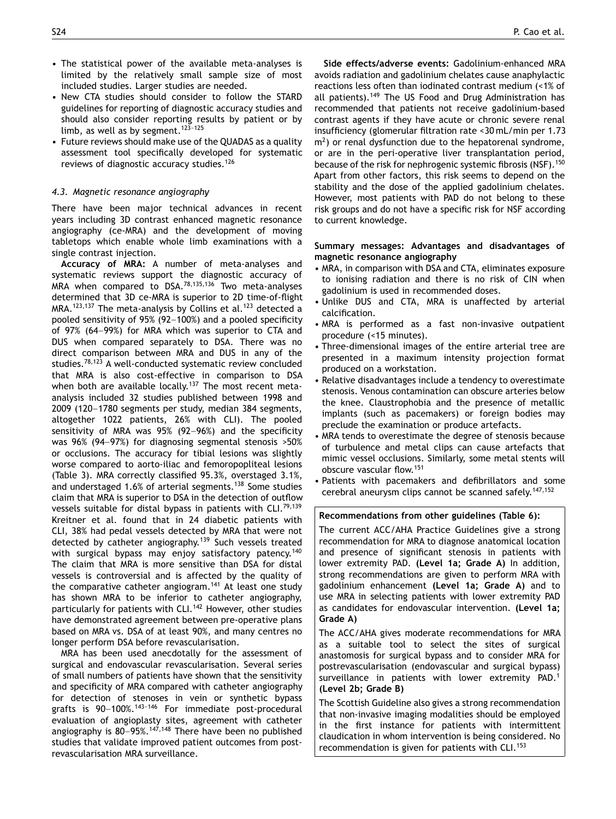- The statistical power of the available meta-analyses is limited by the relatively small sample size of most included studies. Larger studies are needed.
- New CTA studies should consider to follow the STARD guidelines for reporting of diagnostic accuracy studies and should also consider reporting results by patient or by limb, as well as by segment.  $12\overline{3}$ -125
- Future reviews should make use of the QUADAS as a quality assessment tool specifically developed for systematic reviews of diagnostic accuracy studies.<sup>126</sup>

### 4.3. Magnetic resonance angiography

There have been major technical advances in recent years including 3D contrast enhanced magnetic resonance angiography (ce-MRA) and the development of moving tabletops which enable whole limb examinations with a single contrast injection.

Accuracy of MRA: A number of meta-analyses and systematic reviews support the diagnostic accuracy of MRA when compared to DSA.78,135,136 Two meta-analyses determined that 3D ce-MRA is superior to 2D time-of-flight MRA.<sup>123,137</sup> The meta-analysis by Collins et al.<sup>123</sup> detected a pooled sensitivity of 95% (92-100%) and a pooled specificity of 97% (64-99%) for MRA which was superior to CTA and DUS when compared separately to DSA. There was no direct comparison between MRA and DUS in any of the studies.78,123 A well-conducted systematic review concluded that MRA is also cost-effective in comparison to DSA when both are available locally.<sup>137</sup> The most recent metaanalysis included 32 studies published between 1998 and 2009 (120-1780 segments per study, median 384 segments, altogether 1022 patients, 26% with CLI). The pooled sensitivity of MRA was  $95\%$  (92-96%) and the specificity was 96% (94–97%) for diagnosing segmental stenosis >50% or occlusions. The accuracy for tibial lesions was slightly worse compared to aorto-iliac and femoropopliteal lesions (Table 3). MRA correctly classified 95.3%, overstaged 3.1%, and understaged 1.6% of arterial segments.<sup>138</sup> Some studies claim that MRA is superior to DSA in the detection of outflow vessels suitable for distal bypass in patients with CLI.<sup>79,139</sup> Kreitner et al. found that in 24 diabetic patients with CLI, 38% had pedal vessels detected by MRA that were not detected by catheter angiography.139 Such vessels treated with surgical bypass may enjoy satisfactory patency.<sup>140</sup> The claim that MRA is more sensitive than DSA for distal vessels is controversial and is affected by the quality of the comparative catheter angiogram.<sup>141</sup> At least one study has shown MRA to be inferior to catheter angiography, particularly for patients with CLI.<sup>142</sup> However, other studies have demonstrated agreement between pre-operative plans based on MRA vs. DSA of at least 90%, and many centres no longer perform DSA before revascularisation.

MRA has been used anecdotally for the assessment of surgical and endovascular revascularisation. Several series of small numbers of patients have shown that the sensitivity and specificity of MRA compared with catheter angiography for detection of stenoses in vein or synthetic bypass grafts is  $90-100\%$ .<sup>143-146</sup> For immediate post-procedural evaluation of angioplasty sites, agreement with catheter angiography is  $80-95\%$ .<sup>147,148</sup> There have been no published studies that validate improved patient outcomes from postrevascularisation MRA surveillance.

Side effects/adverse events: Gadolinium-enhanced MRA avoids radiation and gadolinium chelates cause anaphylactic reactions less often than iodinated contrast medium (<1% of all patients).<sup>149</sup> The US Food and Drug Administration has recommended that patients not receive gadolinium-based contrast agents if they have acute or chronic severe renal insufficiency (glomerular filtration rate <30 mL/min per 1.73  $m<sup>2</sup>$ ) or renal dysfunction due to the hepatorenal syndrome, or are in the peri-operative liver transplantation period, because of the risk for nephrogenic systemic fibrosis (NSF).<sup>150</sup> Apart from other factors, this risk seems to depend on the stability and the dose of the applied gadolinium chelates. However, most patients with PAD do not belong to these risk groups and do not have a specific risk for NSF according to current knowledge.

### Summary messages: Advantages and disadvantages of magnetic resonance angiography

- MRA, in comparison with DSA and CTA, eliminates exposure to ionising radiation and there is no risk of CIN when gadolinium is used in recommended doses.
- Unlike DUS and CTA, MRA is unaffected by arterial calcification.
- MRA is performed as a fast non-invasive outpatient procedure (<15 minutes).
- Three-dimensional images of the entire arterial tree are presented in a maximum intensity projection format produced on a workstation.
- Relative disadvantages include a tendency to overestimate stenosis. Venous contamination can obscure arteries below the knee. Claustrophobia and the presence of metallic implants (such as pacemakers) or foreign bodies may preclude the examination or produce artefacts.
- MRA tends to overestimate the degree of stenosis because of turbulence and metal clips can cause artefacts that mimic vessel occlusions. Similarly, some metal stents will obscure vascular flow.<sup>151</sup>
- Patients with pacemakers and defibrillators and some cerebral aneurysm clips cannot be scanned safely.<sup>147,152</sup>

### Recommendations from other guidelines (Table 6):

The current ACC/AHA Practice Guidelines give a strong recommendation for MRA to diagnose anatomical location and presence of significant stenosis in patients with lower extremity PAD. (Level 1a; Grade A) In addition, strong recommendations are given to perform MRA with gadolinium enhancement (Level 1a; Grade A) and to use MRA in selecting patients with lower extremity PAD as candidates for endovascular intervention. (Level 1a; Grade A)

The ACC/AHA gives moderate recommendations for MRA as a suitable tool to select the sites of surgical anastomosis for surgical bypass and to consider MRA for postrevascularisation (endovascular and surgical bypass) surveillance in patients with lower extremity PAD.<sup>1</sup> (Level 2b; Grade B)

The Scottish Guideline also gives a strong recommendation that non-invasive imaging modalities should be employed in the first instance for patients with intermittent claudication in whom intervention is being considered. No recommendation is given for patients with CLI.<sup>153</sup>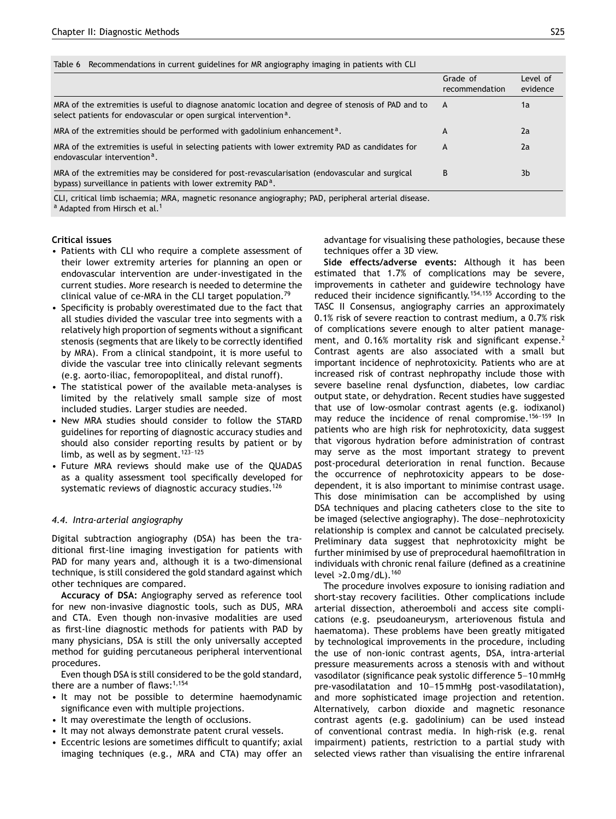| Table 6 Recommendations in current guidelines for MR angiography imaging in patients with CLI |  |  |  |
|-----------------------------------------------------------------------------------------------|--|--|--|
|                                                                                               |  |  |  |

|                                                                                                                                                                                      | Grade of<br>recommendation | Level of<br>evidence |
|--------------------------------------------------------------------------------------------------------------------------------------------------------------------------------------|----------------------------|----------------------|
| MRA of the extremities is useful to diagnose anatomic location and degree of stenosis of PAD and to<br>select patients for endovascular or open surgical intervention <sup>a</sup> . | A                          | 1a                   |
| MRA of the extremities should be performed with gadolinium enhancement <sup>a</sup> .                                                                                                | А                          | 2a                   |
| MRA of the extremities is useful in selecting patients with lower extremity PAD as candidates for<br>endovascular intervention <sup>a</sup> .                                        | А                          | 2a                   |
| MRA of the extremities may be considered for post-revascularisation (endovascular and surgical<br>bypass) surveillance in patients with lower extremity PAD <sup>a</sup> .           | B                          | 3b                   |
| CLI, critical limb ischaemia; MRA, magnetic resonance angiography; PAD, peripheral arterial disease.                                                                                 |                            |                      |

<sup>a</sup> Adapted from Hirsch et al.<sup>1</sup>

#### Critical issues

- Patients with CLI who require a complete assessment of their lower extremity arteries for planning an open or endovascular intervention are under-investigated in the current studies. More research is needed to determine the clinical value of ce-MRA in the CLI target population.<sup>79</sup>
- Specificity is probably overestimated due to the fact that all studies divided the vascular tree into segments with a relatively high proportion of segments without a significant stenosis (segments that are likely to be correctly identified by MRA). From a clinical standpoint, it is more useful to divide the vascular tree into clinically relevant segments (e.g. aorto-iliac, femoropopliteal, and distal runoff).
- The statistical power of the available meta-analyses is limited by the relatively small sample size of most included studies. Larger studies are needed.
- New MRA studies should consider to follow the STARD guidelines for reporting of diagnostic accuracy studies and should also consider reporting results by patient or by limb, as well as by segment.<sup>123-125</sup>
- Future MRA reviews should make use of the QUADAS as a quality assessment tool specifically developed for systematic reviews of diagnostic accuracy studies.<sup>126</sup>

#### 4.4. Intra-arterial angiography

Digital subtraction angiography (DSA) has been the traditional first-line imaging investigation for patients with PAD for many years and, although it is a two-dimensional technique, is still considered the gold standard against which other techniques are compared.

Accuracy of DSA: Angiography served as reference tool for new non-invasive diagnostic tools, such as DUS, MRA and CTA. Even though non-invasive modalities are used as first-line diagnostic methods for patients with PAD by many physicians, DSA is still the only universally accepted method for guiding percutaneous peripheral interventional procedures.

Even though DSA is still considered to be the gold standard, there are a number of flaws: $1,154$ 

- It may not be possible to determine haemodynamic significance even with multiple projections.
- It may overestimate the length of occlusions.
- It may not always demonstrate patent crural vessels.
- Eccentric lesions are sometimes difficult to quantify; axial imaging techniques (e.g., MRA and CTA) may offer an

advantage for visualising these pathologies, because these techniques offer a 3D view.

Side effects/adverse events: Although it has been estimated that 1.7% of complications may be severe, improvements in catheter and guidewire technology have reduced their incidence significantly.<sup>154,155</sup> According to the TASC II Consensus, angiography carries an approximately 0.1% risk of severe reaction to contrast medium, a 0.7% risk of complications severe enough to alter patient management, and  $0.16%$  mortality risk and significant expense.<sup>2</sup> Contrast agents are also associated with a small but important incidence of nephrotoxicity. Patients who are at increased risk of contrast nephropathy include those with severe baseline renal dysfunction, diabetes, low cardiac output state, or dehydration. Recent studies have suggested that use of low-osmolar contrast agents (e.g. iodixanol) may reduce the incidence of renal compromise.<sup>156-159</sup> In patients who are high risk for nephrotoxicity, data suggest that vigorous hydration before administration of contrast may serve as the most important strategy to prevent post-procedural deterioration in renal function. Because the occurrence of nephrotoxicity appears to be dosedependent, it is also important to minimise contrast usage. This dose minimisation can be accomplished by using DSA techniques and placing catheters close to the site to be imaged (selective angiography). The dose–nephrotoxicity relationship is complex and cannot be calculated precisely. Preliminary data suggest that nephrotoxicity might be further minimised by use of preprocedural haemofiltration in individuals with chronic renal failure (defined as a creatinine level  $>2.0$  mg/dL).<sup>160</sup>

The procedure involves exposure to ionising radiation and short-stay recovery facilities. Other complications include arterial dissection, atheroemboli and access site complications (e.g. pseudoaneurysm, arteriovenous fistula and haematoma). These problems have been greatly mitigated by technological improvements in the procedure, including the use of non-ionic contrast agents, DSA, intra-arterial pressure measurements across a stenosis with and without vasodilator (significance peak systolic difference 5––10 mmHg pre-vasodilatation and 10-15 mmHg post-vasodilatation), and more sophisticated image projection and retention. Alternatively, carbon dioxide and magnetic resonance contrast agents (e.g. gadolinium) can be used instead of conventional contrast media. In high-risk (e.g. renal impairment) patients, restriction to a partial study with selected views rather than visualising the entire infrarenal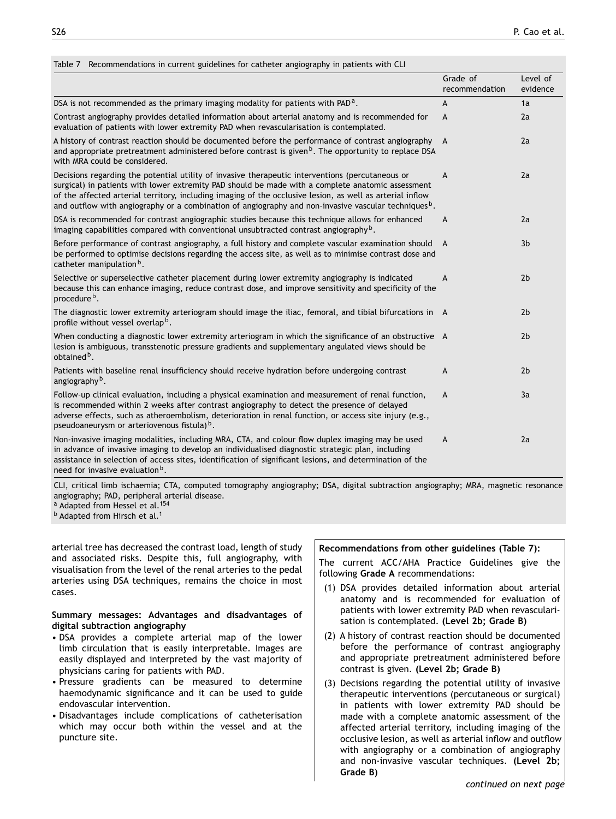|                                                                                                                                                                                                                                                                                                                                                                                                                                        | Grade of<br>recommendation | Level of<br>evidence |
|----------------------------------------------------------------------------------------------------------------------------------------------------------------------------------------------------------------------------------------------------------------------------------------------------------------------------------------------------------------------------------------------------------------------------------------|----------------------------|----------------------|
| DSA is not recommended as the primary imaging modality for patients with $PAD^a$ .                                                                                                                                                                                                                                                                                                                                                     | А                          | 1a                   |
| Contrast angiography provides detailed information about arterial anatomy and is recommended for<br>evaluation of patients with lower extremity PAD when revascularisation is contemplated.                                                                                                                                                                                                                                            | A                          | 2a                   |
| A history of contrast reaction should be documented before the performance of contrast angiography<br>and appropriate pretreatment administered before contrast is given <sup>b</sup> . The opportunity to replace DSA<br>with MRA could be considered.                                                                                                                                                                                | $\overline{A}$             | 2a                   |
| Decisions regarding the potential utility of invasive therapeutic interventions (percutaneous or<br>surgical) in patients with lower extremity PAD should be made with a complete anatomic assessment<br>of the affected arterial territory, including imaging of the occlusive lesion, as well as arterial inflow<br>and outflow with angiography or a combination of angiography and non-invasive vascular techniques <sup>b</sup> . | A                          | 2a                   |
| DSA is recommended for contrast angiographic studies because this technique allows for enhanced<br>imaging capabilities compared with conventional unsubtracted contrast angiography <sup>b</sup> .                                                                                                                                                                                                                                    | A                          | 2a                   |
| Before performance of contrast angiography, a full history and complete vascular examination should A<br>be performed to optimise decisions regarding the access site, as well as to minimise contrast dose and<br>catheter manipulation <sup>b</sup> .                                                                                                                                                                                |                            | 3 <sub>b</sub>       |
| Selective or superselective catheter placement during lower extremity angiography is indicated<br>because this can enhance imaging, reduce contrast dose, and improve sensitivity and specificity of the<br>procedure <sup>b</sup> .                                                                                                                                                                                                   | A                          | 2 <sub>b</sub>       |
| The diagnostic lower extremity arteriogram should image the iliac, femoral, and tibial bifurcations in A<br>profile without vessel overlap <sup>b</sup> .                                                                                                                                                                                                                                                                              |                            | 2 <sub>b</sub>       |
| When conducting a diagnostic lower extremity arteriogram in which the significance of an obstructive A<br>lesion is ambiguous, transstenotic pressure gradients and supplementary angulated views should be<br>obtained <sup>b</sup> .                                                                                                                                                                                                 |                            | 2 <sub>b</sub>       |
| Patients with baseline renal insufficiency should receive hydration before undergoing contrast<br>angiography <sup>b</sup> .                                                                                                                                                                                                                                                                                                           | A                          | 2 <sub>b</sub>       |
| Follow-up clinical evaluation, including a physical examination and measurement of renal function,<br>is recommended within 2 weeks after contrast angiography to detect the presence of delayed<br>adverse effects, such as atheroembolism, deterioration in renal function, or access site injury (e.g.,<br>pseudoaneurysm or arteriovenous fistula) <sup>b</sup> .                                                                  | A                          | 3a                   |
| Non-invasive imaging modalities, including MRA, CTA, and colour flow duplex imaging may be used<br>in advance of invasive imaging to develop an individualised diagnostic strategic plan, including<br>assistance in selection of access sites, identification of significant lesions, and determination of the<br>need for invasive evaluation <sup>b</sup> .                                                                         | A                          | 2a                   |

# Table 7 Recommendations in current guidelines for catheter angiography in patients with CLI

CLI, critical limb ischaemia; CTA, computed tomography angiography; DSA, digital subtraction angiography; MRA, magnetic resonance angiography; PAD, peripheral arterial disease.

a Adapted from Hessel et al.<sup>154</sup>

**b** Adapted from Hirsch et al.<sup>1</sup>

arterial tree has decreased the contrast load, length of study and associated risks. Despite this, full angiography, with visualisation from the level of the renal arteries to the pedal arteries using DSA techniques, remains the choice in most cases.

### Summary messages: Advantages and disadvantages of digital subtraction angiography

- DSA provides a complete arterial map of the lower limb circulation that is easily interpretable. Images are easily displayed and interpreted by the vast majority of physicians caring for patients with PAD.
- Pressure gradients can be measured to determine haemodynamic significance and it can be used to guide endovascular intervention.
- Disadvantages include complications of catheterisation which may occur both within the vessel and at the puncture site.

### Recommendations from other guidelines (Table 7):

The current ACC/AHA Practice Guidelines give the following Grade A recommendations:

- (1) DSA provides detailed information about arterial anatomy and is recommended for evaluation of patients with lower extremity PAD when revascularisation is contemplated. (Level 2b; Grade B)
- (2) A history of contrast reaction should be documented before the performance of contrast angiography and appropriate pretreatment administered before contrast is given. (Level 2b; Grade B)
- (3) Decisions regarding the potential utility of invasive therapeutic interventions (percutaneous or surgical) in patients with lower extremity PAD should be made with a complete anatomic assessment of the affected arterial territory, including imaging of the occlusive lesion, as well as arterial inflow and outflow with angiography or a combination of angiography and non-invasive vascular techniques. (Level 2b; Grade B)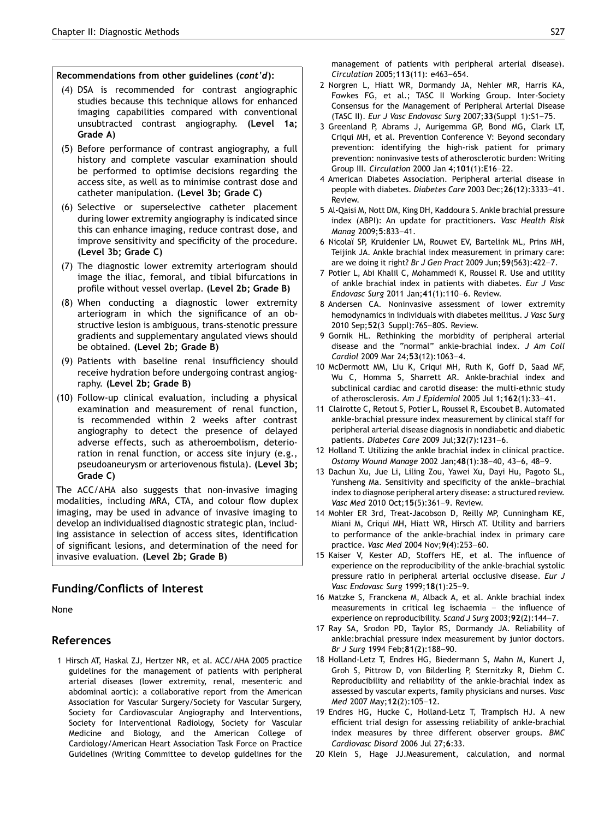### Recommendations from other guidelines (cont'd):

- (4) DSA is recommended for contrast angiographic studies because this technique allows for enhanced imaging capabilities compared with conventional unsubtracted contrast angiography. (Level 1a; Grade A)
- (5) Before performance of contrast angiography, a full history and complete vascular examination should be performed to optimise decisions regarding the access site, as well as to minimise contrast dose and catheter manipulation. (Level 3b; Grade C)
- (6) Selective or superselective catheter placement during lower extremity angiography is indicated since this can enhance imaging, reduce contrast dose, and improve sensitivity and specificity of the procedure. (Level 3b; Grade C)
- (7) The diagnostic lower extremity arteriogram should image the iliac, femoral, and tibial bifurcations in profile without vessel overlap. (Level 2b; Grade B)
- (8) When conducting a diagnostic lower extremity arteriogram in which the significance of an obstructive lesion is ambiguous, trans-stenotic pressure gradients and supplementary angulated views should be obtained. (Level 2b; Grade B)
- (9) Patients with baseline renal insufficiency should receive hydration before undergoing contrast angiography. (Level 2b; Grade B)
- (10) Follow-up clinical evaluation, including a physical examination and measurement of renal function, is recommended within 2 weeks after contrast angiography to detect the presence of delayed adverse effects, such as atheroembolism, deterioration in renal function, or access site injury (e.g., pseudoaneurysm or arteriovenous fistula). (Level 3b; Grade C)

The ACC/AHA also suggests that non-invasive imaging modalities, including MRA, CTA, and colour flow duplex imaging, may be used in advance of invasive imaging to develop an individualised diagnostic strategic plan, including assistance in selection of access sites, identification of significant lesions, and determination of the need for invasive evaluation. (Level 2b; Grade B)

### Funding/Conflicts of Interest

None

### References

1 Hirsch AT, Haskal ZJ, Hertzer NR, et al. ACC/AHA 2005 practice guidelines for the management of patients with peripheral arterial diseases (lower extremity, renal, mesenteric and abdominal aortic): a collaborative report from the American Association for Vascular Surgery/Society for Vascular Surgery, Society for Cardiovascular Angiography and Interventions, Society for Interventional Radiology, Society for Vascular Medicine and Biology, and the American College of Cardiology/American Heart Association Task Force on Practice Guidelines (Writing Committee to develop guidelines for the

management of patients with peripheral arterial disease). Circulation 2005;113(11): e463-654.

- 2 Norgren L, Hiatt WR, Dormandy JA, Nehler MR, Harris KA, Fowkes FG, et al.; TASC II Working Group. Inter-Society Consensus for the Management of Peripheral Arterial Disease (TASC II). Eur J Vasc Endovasc Surg 2007;33(Suppl 1):S1-75.
- 3 Greenland P, Abrams J, Aurigemma GP, Bond MG, Clark LT, Criqui MH, et al. Prevention Conference V: Beyond secondary prevention: identifying the high-risk patient for primary prevention: noninvasive tests of atherosclerotic burden: Writing Group III. Circulation 2000 Jan 4;101(1):E16––22.
- 4 American Diabetes Association. Peripheral arterial disease in people with diabetes. Diabetes Care 2003 Dec;26(12):3333––41. Review.
- 5 Al-Qaisi M, Nott DM, King DH, Kaddoura S. Ankle brachial pressure index (ABPI): An update for practitioners. Vasc Health Risk Manag 2009;5:833-41.
- 6 Nicolaï SP, Kruidenier LM, Rouwet EV, Bartelink ML, Prins MH, Teijink JA. Ankle brachial index measurement in primary care: are we doing it right? Br J Gen Pract 2009 Jun; 59(563): 422-7.
- 7 Potier L, Abi Khalil C, Mohammedi K, Roussel R. Use and utility of ankle brachial index in patients with diabetes. Eur J Vasc Endovasc Surg 2011 Jan; 41(1): 110-6. Review.
- 8 Andersen CA. Noninvasive assessment of lower extremity hemodynamics in individuals with diabetes mellitus. J Vasc Surg 2010 Sep; 52(3 Suppl): 765-80S. Review.
- 9 Gornik HL. Rethinking the morbidity of peripheral arterial disease and the "normal" ankle-brachial index. J Am Coll Cardiol 2009 Mar 24;53(12):1063-4.
- 10 McDermott MM, Liu K, Criqui MH, Ruth K, Goff D, Saad MF, Wu C, Homma S, Sharrett AR. Ankle-brachial index and subclinical cardiac and carotid disease: the multi-ethnic study of atherosclerosis. Am J Epidemiol 2005 Jul 1;162(1):33-41.
- 11 Clairotte C, Retout S, Potier L, Roussel R, Escoubet B. Automated ankle-brachial pressure index measurement by clinical staff for peripheral arterial disease diagnosis in nondiabetic and diabetic patients. Diabetes Care 2009 Jul; 32(7): 1231-6.
- 12 Holland T. Utilizing the ankle brachial index in clinical practice. Ostomy Wound Manage 2002 Jan; 48(1): 38-40, 43-6, 48-9.
- 13 Dachun Xu, Jue Li, Liling Zou, Yawei Xu, Dayi Hu, Pagoto SL, Yunsheng Ma. Sensitivity and specificity of the ankle-brachial index to diagnose peripheral artery disease: a structured review. Vasc Med 2010 Oct: 15(5): 361-9. Review.
- 14 Mohler ER 3rd, Treat-Jacobson D, Reilly MP, Cunningham KE, Miani M, Criqui MH, Hiatt WR, Hirsch AT. Utility and barriers to performance of the ankle-brachial index in primary care practice. Vasc Med 2004 Nov; 9(4): 253-60.
- 15 Kaiser V, Kester AD, Stoffers HE, et al. The influence of experience on the reproducibility of the ankle-brachial systolic pressure ratio in peripheral arterial occlusive disease. Eur J Vasc Endovasc Surg 1999;18(1):25––9.
- 16 Matzke S, Franckena M, Alback A, et al. Ankle brachial index measurements in critical leg ischaemia  $-$  the influence of experience on reproducibility. Scand J Surg 2003;92(2):144-7.
- 17 Ray SA, Srodon PD, Taylor RS, Dormandy JA. Reliability of ankle:brachial pressure index measurement by junior doctors. Br J Surg 1994 Feb;81(2):188––90.
- 18 Holland-Letz T, Endres HG, Biedermann S, Mahn M, Kunert J, Groh S, Pittrow D, von Bilderling P, Sternitzky R, Diehm C. Reproducibility and reliability of the ankle-brachial index as assessed by vascular experts, family physicians and nurses. Vasc Med 2007 May; 12(2): 105-12.
- 19 Endres HG, Hucke C, Holland-Letz T, Trampisch HJ. A new efficient trial design for assessing reliability of ankle-brachial index measures by three different observer groups. BMC Cardiovasc Disord 2006 Jul 27;6:33.
- 20 Klein S, Hage JJ.Measurement, calculation, and normal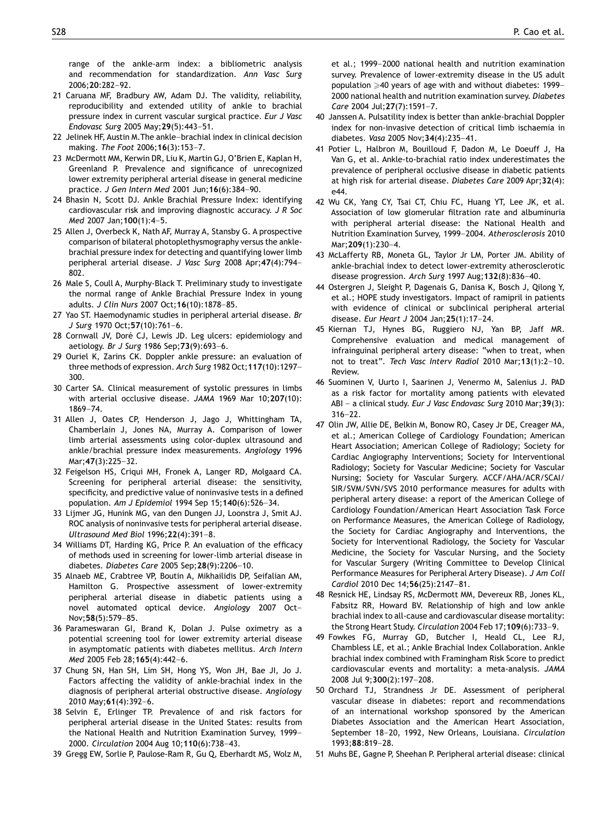range of the ankle-arm index: a bibliometric analysis and recommendation for standardization. Ann Vasc Surg 2006;20:282––92.

- 21 Caruana MF, Bradbury AW, Adam DJ. The validity, reliability, reproducibility and extended utility of ankle to brachial pressure index in current vascular surgical practice. Eur J Vasc Endovasc Surg 2005 May;29(5):443––51.
- 22 Jelinek HF, Austin M. The ankle-brachial index in clinical decision making. The Foot 2006;16(3):153––7.
- 23 McDermott MM, Kerwin DR, Liu K, Martin GJ, O'Brien E, Kaplan H, Greenland P. Prevalence and significance of unrecognized lower extremity peripheral arterial disease in general medicine practice. J Gen Intern Med 2001 Jun;  $16(6)$ : 384–90.
- 24 Bhasin N, Scott DJ. Ankle Brachial Pressure Index: identifying cardiovascular risk and improving diagnostic accuracy. J R Soc Med 2007 Jan; 100(1): 4-5.
- 25 Allen J, Overbeck K, Nath AF, Murray A, Stansby G. A prospective comparison of bilateral photoplethysmography versus the anklebrachial pressure index for detecting and quantifying lower limb peripheral arterial disease. J Vasc Surg 2008 Apr; 47(4): 794-802.
- 26 Male S, Coull A, Murphy-Black T. Preliminary study to investigate the normal range of Ankle Brachial Pressure Index in young adults. J Clin Nurs 2007 Oct; 16(10): 1878-85.
- 27 Yao ST. Haemodynamic studies in peripheral arterial disease. Br J Surg 1970 Oct; 57(10): 761-6.
- 28 Cornwall JV, Doré CJ, Lewis JD. Leg ulcers: epidemiology and aetiology. Br J Surg 1986 Sep; 73(9): 693-6.
- 29 Ouriel K, Zarins CK. Doppler ankle pressure: an evaluation of three methods of expression. Arch Surg 1982 Oct; 117(10): 1297-300.
- 30 Carter SA. Clinical measurement of systolic pressures in limbs with arterial occlusive disease. JAMA 1969 Mar 10;207(10): 1869––74.
- 31 Allen J, Oates CP, Henderson J, Jago J, Whittingham TA, Chamberlain J, Jones NA, Murray A. Comparison of lower limb arterial assessments using color-duplex ultrasound and ankle/brachial pressure index measurements. Angiology 1996 Mar; 47(3): 225-32.
- 32 Feigelson HS, Criqui MH, Fronek A, Langer RD, Molgaard CA. Screening for peripheral arterial disease: the sensitivity, specificity, and predictive value of noninvasive tests in a defined population. Am J Epidemiol 1994 Sep 15;140(6):526-34.
- 33 Lijmer JG, Hunink MG, van den Dungen JJ, Loonstra J, Smit AJ. ROC analysis of noninvasive tests for peripheral arterial disease. Ultrasound Med Biol 1996;22(4):391––8.
- 34 Williams DT, Harding KG, Price P. An evaluation of the efficacy of methods used in screening for lower-limb arterial disease in diabetes. Diabetes Care 2005 Sep; 28(9): 2206-10.
- 35 Alnaeb ME, Crabtree VP, Boutin A, Mikhailidis DP, Seifalian AM, Hamilton G. Prospective assessment of lower-extremity peripheral arterial disease in diabetic patients using a novel automated optical device. Angiology 2007 Oct–– Nov; 58(5): 579-85.
- 36 Parameswaran GI, Brand K, Dolan J. Pulse oximetry as a potential screening tool for lower extremity arterial disease in asymptomatic patients with diabetes mellitus. Arch Intern Med 2005 Feb 28;165(4):442-6.
- 37 Chung SN, Han SH, Lim SH, Hong YS, Won JH, Bae JI, Jo J. Factors affecting the validity of ankle-brachial index in the diagnosis of peripheral arterial obstructive disease. Angiology 2010 May; 61(4): 392-6.
- 38 Selvin E, Erlinger TP. Prevalence of and risk factors for peripheral arterial disease in the United States: results from the National Health and Nutrition Examination Survey, 1999–– 2000. Circulation 2004 Aug 10;110(6):738-43.
- 39 Gregg EW, Sorlie P, Paulose-Ram R, Gu Q, Eberhardt MS, Wolz M,

et al.; 1999-2000 national health and nutrition examination survey. Prevalence of lower-extremity disease in the US adult population  $\geqslant 40$  years of age with and without diabetes: 1999– 2000 national health and nutrition examination survey. Diabetes Care 2004 Jul; 27(7): 1591-7.

- 40 Janssen A. Pulsatility index is better than ankle-brachial Doppler index for non-invasive detection of critical limb ischaemia in diabetes. Vasa 2005 Nov; 34(4): 235-41.
- 41 Potier L, Halbron M, Bouilloud F, Dadon M, Le Doeuff J, Ha Van G, et al. Ankle-to-brachial ratio index underestimates the prevalence of peripheral occlusive disease in diabetic patients at high risk for arterial disease. Diabetes Care 2009 Apr;32(4): e44.
- 42 Wu CK, Yang CY, Tsai CT, Chiu FC, Huang YT, Lee JK, et al. Association of low glomerular filtration rate and albuminuria with peripheral arterial disease: the National Health and Nutrition Examination Survey, 1999-2004. Atherosclerosis 2010 Mar; 209(1): 230-4.
- 43 McLafferty RB, Moneta GL, Taylor Jr LM, Porter JM. Ability of ankle-brachial index to detect lower-extremity atherosclerotic disease progression. Arch Surg 1997 Aug; 132(8):836-40.
- 44 Ostergren J, Sleight P, Dagenais G, Danisa K, Bosch J, Qilong Y, et al.; HOPE study investigators. Impact of ramipril in patients with evidence of clinical or subclinical peripheral arterial disease. Eur Heart J 2004 Jan; 25(1): 17-24.
- 45 Kiernan TJ, Hynes BG, Ruggiero NJ, Yan BP, Jaff MR. Comprehensive evaluation and medical management of infrainguinal peripheral artery disease: "when to treat, when not to treat". Tech Vasc Interv Radiol 2010 Mar; 13(1): 2-10. Review.
- 46 Suominen V, Uurto I, Saarinen J, Venermo M, Salenius J. PAD as a risk factor for mortality among patients with elevated ABI – a clinical study. Eur J Vasc Endovasc Surg 2010 Mar; 39(3):  $316 - 22$ .
- 47 Olin JW, Allie DE, Belkin M, Bonow RO, Casey Jr DE, Creager MA, et al.; American College of Cardiology Foundation; American Heart Association; American College of Radiology; Society for Cardiac Angiography Interventions; Society for Interventional Radiology; Society for Vascular Medicine; Society for Vascular Nursing; Society for Vascular Surgery. ACCF/AHA/ACR/SCAI/ SIR/SVM/SVN/SVS 2010 performance measures for adults with peripheral artery disease: a report of the American College of Cardiology Foundation/American Heart Association Task Force on Performance Measures, the American College of Radiology, the Society for Cardiac Angiography and Interventions, the Society for Interventional Radiology, the Society for Vascular Medicine, the Society for Vascular Nursing, and the Society for Vascular Surgery (Writing Committee to Develop Clinical Performance Measures for Peripheral Artery Disease). J Am Coll Cardiol 2010 Dec 14;56(25):2147-81.
- 48 Resnick HE, Lindsay RS, McDermott MM, Devereux RB, Jones KL, Fabsitz RR, Howard BV. Relationship of high and low ankle brachial index to all-cause and cardiovascular disease mortality: the Strong Heart Study. Circulation 2004 Feb 17;109(6):733––9.
- 49 Fowkes FG, Murray GD, Butcher I, Heald CL, Lee RJ, Chambless LE, et al.; Ankle Brachial Index Collaboration. Ankle brachial index combined with Framingham Risk Score to predict cardiovascular events and mortality: a meta-analysis. JAMA 2008 Jul 9;300(2):197-208.
- 50 Orchard TJ, Strandness Jr DE. Assessment of peripheral vascular disease in diabetes: report and recommendations of an international workshop sponsored by the American Diabetes Association and the American Heart Association, September 18-20, 1992, New Orleans, Louisiana. Circulation 1993;88:819––28.
- 51 Muhs BE, Gagne P, Sheehan P. Peripheral arterial disease: clinical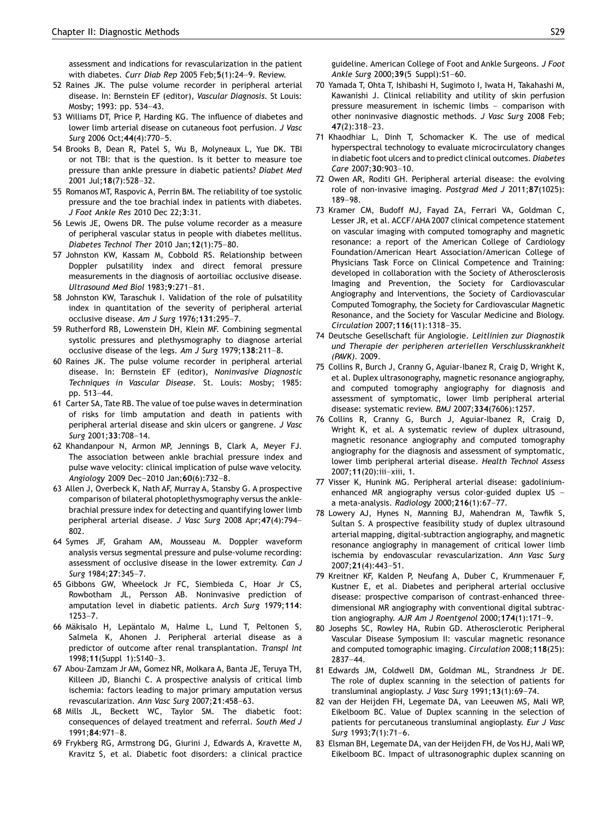assessment and indications for revascularization in the patient with diabetes. Curr Diab Rep 2005 Feb; 5(1): 24-9. Review.

- 52 Raines JK. The pulse volume recorder in peripheral arterial disease. In: Bernstein EF (editor), Vascular Diagnosis. St Louis: Mosby; 1993: pp. 534-43.
- 53 Williams DT, Price P, Harding KG. The influence of diabetes and lower limb arterial disease on cutaneous foot perfusion. J Vasc Surg 2006 Oct; 44(4): 770-5.
- 54 Brooks B, Dean R, Patel S, Wu B, Molyneaux L, Yue DK. TBI or not TBI: that is the question. Is it better to measure toe pressure than ankle pressure in diabetic patients? Diabet Med 2001 Jul; 18(7): 528-32.
- 55 Romanos MT, Raspovic A, Perrin BM. The reliability of toe systolic pressure and the toe brachial index in patients with diabetes. J Foot Ankle Res 2010 Dec 22;3:31.
- 56 Lewis JE, Owens DR. The pulse volume recorder as a measure of peripheral vascular status in people with diabetes mellitus. Diabetes Technol Ther 2010 Jan;  $12(1):75-80$ .
- 57 Johnston KW, Kassam M, Cobbold RS. Relationship between Doppler pulsatility index and direct femoral pressure measurements in the diagnosis of aortoiliac occlusive disease. Ultrasound Med Biol 1983:9:271-81.
- 58 Johnston KW, Taraschuk I. Validation of the role of pulsatility index in quantitation of the severity of peripheral arterial occlusive disease. Am J Surg 1976;131:295-7.
- 59 Rutherford RB, Lowenstein DH, Klein MF. Combining segmental systolic pressures and plethysmography to diagnose arterial occlusive disease of the legs. Am J Surg 1979;138:211-8.
- 60 Raines JK. The pulse volume recorder in peripheral arterial disease. In: Bernstein EF (editor), Noninvasive Diagnostic Techniques in Vascular Disease. St. Louis: Mosby; 1985: pp. 513-44.
- 61 Carter SA, Tate RB. The value of toe pulse waves in determination of risks for limb amputation and death in patients with peripheral arterial disease and skin ulcers or gangrene. J Vasc Surg 2001;33:708-14.
- 62 Khandanpour N, Armon MP, Jennings B, Clark A, Meyer FJ. The association between ankle brachial pressure index and pulse wave velocity: clinical implication of pulse wave velocity. Angiology 2009 Dec-2010 Jan; 60(6): 732-8.
- 63 Allen J, Overbeck K, Nath AF, Murray A, Stansby G. A prospective comparison of bilateral photoplethysmography versus the anklebrachial pressure index for detecting and quantifying lower limb peripheral arterial disease. J Vasc Surg 2008 Apr;47(4):794–– 802.
- 64 Symes JF, Graham AM, Mousseau M. Doppler waveform analysis versus segmental pressure and pulse-volume recording: assessment of occlusive disease in the lower extremity. Can J Surg 1984; 27: 345-7.
- 65 Gibbons GW, Wheelock Jr FC, Siembieda C, Hoar Jr CS, Rowbotham JL, Persson AB. Noninvasive prediction of amputation level in diabetic patients. Arch Surg 1979;114:  $1253 - 7.$
- 66 Mäkisalo H, Lepäntalo M, Halme L, Lund T, Peltonen S, Salmela K, Ahonen J. Peripheral arterial disease as a predictor of outcome after renal transplantation. Transpl Int 1998;11(Suppl 1):S140-3.
- 67 Abou-Zamzam Jr AM, Gomez NR, Molkara A, Banta JE, Teruya TH, Killeen JD, Bianchi C. A prospective analysis of critical limb ischemia: factors leading to major primary amputation versus revascularization. Ann Vasc Surg 2007;21:458-63.
- 68 Mills JL, Beckett WC, Taylor SM. The diabetic foot: consequences of delayed treatment and referral. South Med J 1991;84:971-8.
- 69 Frykberg RG, Armstrong DG, Giurini J, Edwards A, Kravette M, Kravitz S, et al. Diabetic foot disorders: a clinical practice

guideline. American College of Foot and Ankle Surgeons. J Foot Ankle Surg 2000;39(5 Suppl): S1-60.

- 70 Yamada T, Ohta T, Ishibashi H, Sugimoto I, Iwata H, Takahashi M, Kawanishi J. Clinical reliability and utility of skin perfusion pressure measurement in ischemic limbs –– comparison with other noninvasive diagnostic methods. J Vasc Surg 2008 Feb;  $47(2):318-23.$
- 71 Khaodhiar L, Dinh T, Schomacker K. The use of medical hyperspectral technology to evaluate microcirculatory changes in diabetic foot ulcers and to predict clinical outcomes. Diabetes Care 2007;30:903-10.
- 72 Owen AR, Roditi GH. Peripheral arterial disease: the evolving role of non-invasive imaging. Postgrad Med J 2011;87(1025): 189––98.
- 73 Kramer CM, Budoff MJ, Fayad ZA, Ferrari VA, Goldman C, Lesser JR, et al. ACCF/AHA 2007 clinical competence statement on vascular imaging with computed tomography and magnetic resonance: a report of the American College of Cardiology Foundation/American Heart Association/American College of Physicians Task Force on Clinical Competence and Training: developed in collaboration with the Society of Atherosclerosis Imaging and Prevention, the Society for Cardiovascular Angiography and Interventions, the Society of Cardiovascular Computed Tomography, the Society for Cardiovascular Magnetic Resonance, and the Society for Vascular Medicine and Biology. Circulation 2007;116(11):1318––35.
- 74 Deutsche Gesellschaft für Angiologie. Leitlinien zur Diagnostik und Therapie der peripheren arteriellen Verschlusskrankheit (PAVK). 2009.
- 75 Collins R, Burch J, Cranny G, Aguiar-Ibanez R, Craig D, Wright K, et al. Duplex ultrasonography, magnetic resonance angiography, and computed tomography angiography for diagnosis and assessment of symptomatic, lower limb peripheral arterial disease: systematic review. BMJ 2007;334(7606):1257.
- 76 Collins R, Cranny G, Burch J, Aguiar-Ibanez R, Craig D, Wright K, et al. A systematic review of duplex ultrasound, magnetic resonance angiography and computed tomography angiography for the diagnosis and assessment of symptomatic, lower limb peripheral arterial disease. Health Technol Assess 2007;11(20):iii––xiii, 1.
- 77 Visser K, Hunink MG. Peripheral arterial disease: gadoliniumenhanced MR angiography versus color-guided duplex US –– a meta-analysis. Radiology  $2000;216(1):67-77$ .
- 78 Lowery AJ, Hynes N, Manning BJ, Mahendran M, Tawfik S, Sultan S. A prospective feasibility study of duplex ultrasound arterial mapping, digital-subtraction angiography, and magnetic resonance angiography in management of critical lower limb ischemia by endovascular revascularization. Ann Vasc Surg 2007;21(4):443––51.
- 79 Kreitner KF, Kalden P, Neufang A, Duber C, Krummenauer F, Kustner E, et al. Diabetes and peripheral arterial occlusive disease: prospective comparison of contrast-enhanced threedimensional MR angiography with conventional digital subtraction angiography. AJR Am J Roentgenol 2000;174(1):171-9.
- 80 Josephs SC, Rowley HA, Rubin GD. Atherosclerotic Peripheral Vascular Disease Symposium II: vascular magnetic resonance and computed tomographic imaging. Circulation 2008;118(25): 2837––44.
- 81 Edwards JM, Coldwell DM, Goldman ML, Strandness Jr DE. The role of duplex scanning in the selection of patients for transluminal angioplasty. J Vasc Surg 1991;13(1):69-74.
- 82 van der Heijden FH, Legemate DA, van Leeuwen MS, Mali WP, Eikelboom BC. Value of Duplex scanning in the selection of patients for percutaneous transluminal angioplasty. Eur J Vasc Surg 1993;7(1):71-6.
- 83 Elsman BH, Legemate DA, van der Heijden FH, de Vos HJ, Mali WP, Eikelboom BC. Impact of ultrasonographic duplex scanning on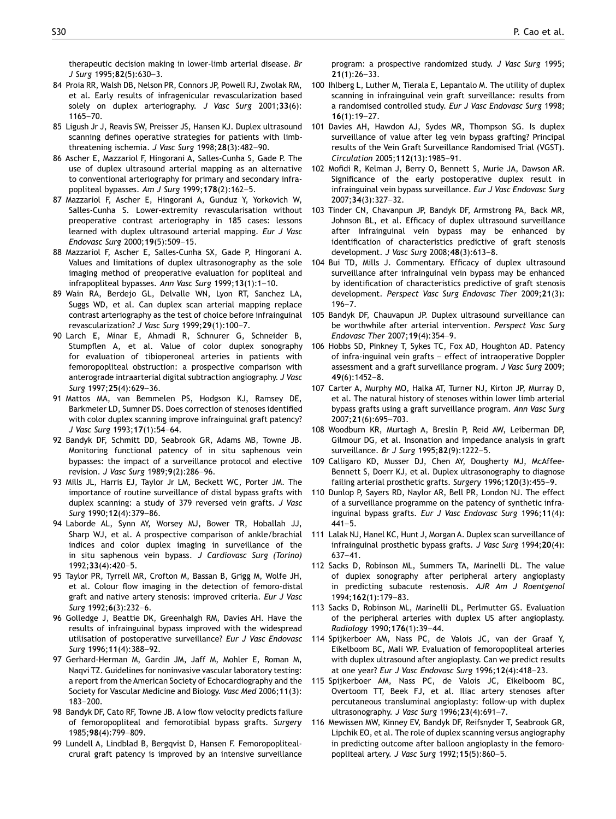therapeutic decision making in lower-limb arterial disease. Br J Surg 1995;82(5):630––3.

- 84 Proia RR, Walsh DB, Nelson PR, Connors JP, Powell RJ, Zwolak RM, et al. Early results of infragenicular revascularization based solely on duplex arteriography. J Vasc Surg 2001;33(6): 1165––70.
- 85 Ligush Jr J, Reavis SW, Preisser JS, Hansen KJ. Duplex ultrasound scanning defines operative strategies for patients with limbthreatening ischemia. J Vasc Surg 1998;28(3):482-90.
- 86 Ascher E, Mazzariol F, Hingorani A, Salles-Cunha S, Gade P. The use of duplex ultrasound arterial mapping as an alternative to conventional arteriography for primary and secondary infrapopliteal bypasses. Am J Surg  $1999; 178(2): 162-5$ .
- 87 Mazzariol F, Ascher E, Hingorani A, Gunduz Y, Yorkovich W, Salles-Cunha S. Lower-extremity revascularisation without preoperative contrast arteriography in 185 cases: lessons learned with duplex ultrasound arterial mapping. Eur J Vasc Endovasc Surg 2000;19(5):509––15.
- 88 Mazzariol F, Ascher E, Salles-Cunha SX, Gade P, Hingorani A. Values and limitations of duplex ultrasonography as the sole imaging method of preoperative evaluation for popliteal and infrapopliteal bypasses. Ann Vasc Surg 1999;13(1):1-10.
- 89 Wain RA, Berdejo GL, Delvalle WN, Lyon RT, Sanchez LA, Suggs WD, et al. Can duplex scan arterial mapping replace contrast arteriography as the test of choice before infrainguinal revascularization? J Vasc Surg 1999;29(1):100––7.
- 90 Larch E, Minar E, Ahmadi R, Schnurer G, Schneider B, Stumpflen A, et al. Value of color duplex sonography for evaluation of tibioperoneal arteries in patients with femoropopliteal obstruction: a prospective comparison with anterograde intraarterial digital subtraction angiography. J Vasc Surg 1997;25(4):629-36.
- 91 Mattos MA, van Bemmelen PS, Hodgson KJ, Ramsey DE, Barkmeier LD, Sumner DS. Does correction of stenoses identified with color duplex scanning improve infrainguinal graft patency? J Vasc Surg 1993; 17(1): 54-64.
- 92 Bandyk DF, Schmitt DD, Seabrook GR, Adams MB, Towne JB. Monitoring functional patency of in situ saphenous vein bypasses: the impact of a surveillance protocol and elective revision. J Vasc Surg 1989;9(2):286-96.
- 93 Mills JL, Harris EJ, Taylor Jr LM, Beckett WC, Porter JM. The importance of routine surveillance of distal bypass grafts with duplex scanning: a study of 379 reversed vein grafts. J Vasc Surg 1990;12(4):379-86.
- 94 Laborde AL, Synn AY, Worsey MJ, Bower TR, Hoballah JJ, Sharp WJ, et al. A prospective comparison of ankle/brachial indices and color duplex imaging in surveillance of the in situ saphenous vein bypass. J Cardiovasc Surg (Torino) 1992;33(4):420––5.
- 95 Taylor PR, Tyrrell MR, Crofton M, Bassan B, Grigg M, Wolfe JH, et al. Colour flow imaging in the detection of femoro-distal graft and native artery stenosis: improved criteria. Eur J Vasc Surg 1992;6(3):232-6.
- 96 Golledge J, Beattie DK, Greenhalgh RM, Davies AH. Have the results of infrainguinal bypass improved with the widespread utilisation of postoperative surveillance? Eur J Vasc Endovasc Surg 1996;11(4):388-92.
- 97 Gerhard-Herman M, Gardin JM, Jaff M, Mohler E, Roman M, Naqvi TZ. Guidelines for noninvasive vascular laboratory testing: a report from the American Society of Echocardiography and the Society for Vascular Medicine and Biology. Vasc Med 2006;11(3): 183––200.
- 98 Bandyk DF, Cato RF, Towne JB. A low flow velocity predicts failure of femoropopliteal and femorotibial bypass grafts. Surgery 1985;98(4):799––809.
- 99 Lundell A, Lindblad B, Bergqvist D, Hansen F. Femoropoplitealcrural graft patency is improved by an intensive surveillance

program: a prospective randomized study. J Vasc Surg 1995;  $21(1):26-33.$ 

- 100 Ihlberg L, Luther M, Tierala E, Lepantalo M. The utility of duplex scanning in infrainguinal vein graft surveillance: results from a randomised controlled study. Eur J Vasc Endovasc Surg 1998;  $16(1):19-27.$
- 101 Davies AH, Hawdon AJ, Sydes MR, Thompson SG. Is duplex surveillance of value after leg vein bypass grafting? Principal results of the Vein Graft Surveillance Randomised Trial (VGST). Circulation 2005;112(13):1985––91.
- 102 Mofidi R, Kelman J, Berry O, Bennett S, Murie JA, Dawson AR. Significance of the early postoperative duplex result in infrainguinal vein bypass surveillance. Eur J Vasc Endovasc Surg  $2007;34(3):327-32.$
- 103 Tinder CN, Chavanpun JP, Bandyk DF, Armstrong PA, Back MR, Johnson BL, et al. Efficacy of duplex ultrasound surveillance after infrainguinal vein bypass may be enhanced by identification of characteristics predictive of graft stenosis development. J Vasc Surg 2008;48(3):613-8.
- 104 Bui TD, Mills J. Commentary. Efficacy of duplex ultrasound surveillance after infrainguinal vein bypass may be enhanced by identification of characteristics predictive of graft stenosis development. Perspect Vasc Surg Endovasc Ther 2009;21(3):  $196 - 7.$
- 105 Bandyk DF, Chauvapun JP. Duplex ultrasound surveillance can be worthwhile after arterial intervention. Perspect Vasc Surg Endovasc Ther 2007;19(4):354-9.
- 106 Hobbs SD, Pinkney T, Sykes TC, Fox AD, Houghton AD. Patency of infra-inguinal vein grafts –– effect of intraoperative Doppler assessment and a graft surveillance program. J Vasc Surg 2009;  $49(6):1452-8.$
- 107 Carter A, Murphy MO, Halka AT, Turner NJ, Kirton JP, Murray D, et al. The natural history of stenoses within lower limb arterial bypass grafts using a graft surveillance program. Ann Vasc Surg 2007;21(6):695––703.
- 108 Woodburn KR, Murtagh A, Breslin P, Reid AW, Leiberman DP, Gilmour DG, et al. Insonation and impedance analysis in graft surveillance. Br J Surg 1995;82(9):1222-5.
- 109 Calligaro KD, Musser DJ, Chen AY, Dougherty MJ, McAffee-Bennett S, Doerr KJ, et al. Duplex ultrasonography to diagnose failing arterial prosthetic grafts. Surgery 1996;120(3):455-9.
- 110 Dunlop P, Sayers RD, Naylor AR, Bell PR, London NJ. The effect of a surveillance programme on the patency of synthetic infrainguinal bypass grafts. Eur J Vasc Endovasc Surg 1996;11(4):  $441 - 5$ .
- 111 Lalak NJ, Hanel KC, Hunt J, Morgan A. Duplex scan surveillance of infrainguinal prosthetic bypass grafts. J Vasc Surg 1994;20(4):  $637 - 41.$
- 112 Sacks D, Robinson ML, Summers TA, Marinelli DL. The value of duplex sonography after peripheral artery angioplasty in predicting subacute restenosis. AJR Am J Roentgenol 1994;162(1):179––83.
- 113 Sacks D, Robinson ML, Marinelli DL, Perlmutter GS. Evaluation of the peripheral arteries with duplex US after angioplasty. Radiology 1990;176(1):39––44.
- 114 Spijkerboer AM, Nass PC, de Valois JC, van der Graaf Y, Eikelboom BC, Mali WP. Evaluation of femoropopliteal arteries with duplex ultrasound after angioplasty. Can we predict results at one year? Eur J Vasc Endovasc Surg 1996;12(4):418-23.
- 115 Spijkerboer AM, Nass PC, de Valois JC, Eikelboom BC, Overtoom TT, Beek FJ, et al. Iliac artery stenoses after percutaneous transluminal angioplasty: follow-up with duplex ultrasonography. J Vasc Surg 1996;23(4):691-7.
- 116 Mewissen MW, Kinney EV, Bandyk DF, Reifsnyder T, Seabrook GR, Lipchik EO, et al. The role of duplex scanning versus angiography in predicting outcome after balloon angioplasty in the femoropopliteal artery. J Vasc Surg 1992; 15(5): 860-5.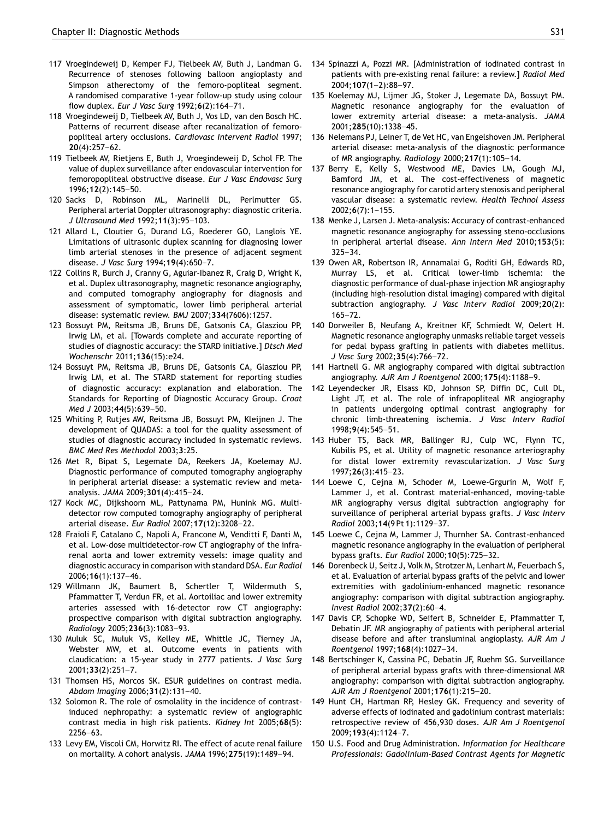- 117 Vroegindeweij D, Kemper FJ, Tielbeek AV, Buth J, Landman G. Recurrence of stenoses following balloon angioplasty and Simpson atherectomy of the femoro-popliteal segment. A randomised comparative 1-year follow-up study using colour flow duplex. Eur J Vasc Surg 1992;6(2):164-71.
- 118 Vroegindeweij D, Tielbeek AV, Buth J, Vos LD, van den Bosch HC. Patterns of recurrent disease after recanalization of femoropopliteal artery occlusions. Cardiovasc Intervent Radiol 1997;  $20(4):257-62.$
- 119 Tielbeek AV, Rietjens E, Buth J, Vroegindeweij D, Schol FP. The value of duplex surveillance after endovascular intervention for femoropopliteal obstructive disease. Eur J Vasc Endovasc Surg 1996;12(2):145––50.
- 120 Sacks D, Robinson ML, Marinelli DL, Perlmutter GS. Peripheral arterial Doppler ultrasonography: diagnostic criteria. J Ultrasound Med 1992;11(3):95––103.
- 121 Allard L, Cloutier G, Durand LG, Roederer GO, Langlois YE. Limitations of ultrasonic duplex scanning for diagnosing lower limb arterial stenoses in the presence of adjacent segment disease. J Vasc Surg 1994; 19(4): 650-7.
- 122 Collins R, Burch J, Cranny G, Aguiar-Ibanez R, Craig D, Wright K, et al. Duplex ultrasonography, magnetic resonance angiography, and computed tomography angiography for diagnosis and assessment of symptomatic, lower limb peripheral arterial disease: systematic review. BMJ 2007;334(7606):1257.
- 123 Bossuyt PM, Reitsma JB, Bruns DE, Gatsonis CA, Glasziou PP, Irwig LM, et al. [Towards complete and accurate reporting of studies of diagnostic accuracy: the STARD initiative.] Dtsch Med Wochenschr 2011;136(15):e24.
- 124 Bossuyt PM, Reitsma JB, Bruns DE, Gatsonis CA, Glasziou PP, Irwig LM, et al. The STARD statement for reporting studies of diagnostic accuracy: explanation and elaboration. The Standards for Reporting of Diagnostic Accuracy Group. Croat  $Med$  J 2003;44(5):639-50.
- 125 Whiting P, Rutjes AW, Reitsma JB, Bossuyt PM, Kleijnen J. The development of QUADAS: a tool for the quality assessment of studies of diagnostic accuracy included in systematic reviews. BMC Med Res Methodol 2003;3:25.
- 126 Met R, Bipat S, Legemate DA, Reekers JA, Koelemay MJ. Diagnostic performance of computed tomography angiography in peripheral arterial disease: a systematic review and metaanalysis. JAMA 2009;301(4):415-24.
- 127 Kock MC, Dijkshoorn ML, Pattynama PM, Hunink MG. Multidetector row computed tomography angiography of peripheral arterial disease. Eur Radiol 2007;17(12):3208––22.
- 128 Fraioli F, Catalano C, Napoli A, Francone M, Venditti F, Danti M, et al. Low-dose multidetector-row CT angiography of the infrarenal aorta and lower extremity vessels: image quality and diagnostic accuracy in comparison with standard DSA. Eur Radiol 2006;16(1):137––46.
- 129 Willmann JK, Baumert B, Schertler T, Wildermuth S, Pfammatter T, Verdun FR, et al. Aortoiliac and lower extremity arteries assessed with 16-detector row CT angiography: prospective comparison with digital subtraction angiography. Radiology 2005;236(3):1083––93.
- 130 Muluk SC, Muluk VS, Kelley ME, Whittle JC, Tierney JA, Webster MW, et al. Outcome events in patients with claudication: a 15-year study in 2777 patients. J Vasc Surg  $2001;33(2):251-7.$
- 131 Thomsen HS, Morcos SK. ESUR guidelines on contrast media. Abdom Imaging 2006;31(2):131-40.
- 132 Solomon R. The role of osmolality in the incidence of contrastinduced nephropathy: a systematic review of angiographic contrast media in high risk patients. Kidney Int 2005;68(5):  $2256 - 63$ .
- 133 Levy EM, Viscoli CM, Horwitz RI. The effect of acute renal failure on mortality. A cohort analysis. JAMA 1996;275(19):1489-94.
- 134 Spinazzi A, Pozzi MR. [Administration of iodinated contrast in patients with pre-existing renal failure: a review.] Radiol Med  $2004; 107(1-2):88-97.$
- 135 Koelemay MJ, Lijmer JG, Stoker J, Legemate DA, Bossuyt PM. Magnetic resonance angiography for the evaluation of lower extremity arterial disease: a meta-analysis. JAMA 2001;285(10):1338––45.
- 136 Nelemans PJ, Leiner T, de Vet HC, van Engelshoven JM. Peripheral arterial disease: meta-analysis of the diagnostic performance of MR angiography. Radiology 2000;217(1):105-14.
- 137 Berry E, Kelly S, Westwood ME, Davies LM, Gough MJ, Bamford JM, et al. The cost-effectiveness of magnetic resonance angiography for carotid artery stenosis and peripheral vascular disease: a systematic review. Health Technol Assess  $2002:6(7):1-155.$
- 138 Menke J, Larsen J. Meta-analysis: Accuracy of contrast-enhanced magnetic resonance angiography for assessing steno-occlusions in peripheral arterial disease. Ann Intern Med 2010;153(5):  $325 - 34.$
- 139 Owen AR, Robertson IR, Annamalai G, Roditi GH, Edwards RD, Murray LS, et al. Critical lower-limb ischemia: the diagnostic performance of dual-phase injection MR angiography (including high-resolution distal imaging) compared with digital subtraction angiography. J Vasc Interv Radiol 2009;20(2):  $165 - 72.$
- 140 Dorweiler B, Neufang A, Kreitner KF, Schmiedt W, Oelert H. Magnetic resonance angiography unmasks reliable target vessels for pedal bypass grafting in patients with diabetes mellitus. J Vasc Surg 2002;35(4):766––72.
- 141 Hartnell G. MR angiography compared with digital subtraction angiography. AJR Am J Roentgenol 2000;175(4):1188-9.
- 142 Leyendecker JR, Elsass KD, Johnson SP, Diffin DC, Cull DL, Light JT, et al. The role of infrapopliteal MR angiography in patients undergoing optimal contrast angiography for chronic limb-threatening ischemia. J Vasc Interv Radiol 1998;9(4):545––51.
- 143 Huber TS, Back MR, Ballinger RJ, Culp WC, Flynn TC, Kubilis PS, et al. Utility of magnetic resonance arteriography for distal lower extremity revascularization. J Vasc Surg 1997;26(3):415––23.
- 144 Loewe C, Cejna M, Schoder M, Loewe-Grgurin M, Wolf F, Lammer J, et al. Contrast material-enhanced, moving-table MR angiography versus digital subtraction angiography for surveillance of peripheral arterial bypass grafts. J Vasc Interv Radiol 2003;14(9 Pt 1):1129-37.
- 145 Loewe C, Cejna M, Lammer J, Thurnher SA. Contrast-enhanced magnetic resonance angiography in the evaluation of peripheral bypass grafts. Eur Radiol 2000; 10(5): 725-32.
- 146 Dorenbeck U, Seitz J, Volk M, Strotzer M, Lenhart M, Feuerbach S, et al. Evaluation of arterial bypass grafts of the pelvic and lower extremities with gadolinium-enhanced magnetic resonance angiography: comparison with digital subtraction angiography. Invest Radiol 2002;37(2):60––4.
- 147 Davis CP, Schopke WD, Seifert B, Schneider E, Pfammatter T, Debatin JF. MR angiography of patients with peripheral arterial disease before and after transluminal angioplasty. AJR Am J Roentgenol 1997;168(4):1027––34.
- 148 Bertschinger K, Cassina PC, Debatin JF, Ruehm SG. Surveillance of peripheral arterial bypass grafts with three-dimensional MR angiography: comparison with digital subtraction angiography. AJR Am J Roentgenol 2001;176(1):215––20.
- 149 Hunt CH, Hartman RP, Hesley GK. Frequency and severity of adverse effects of iodinated and gadolinium contrast materials: retrospective review of 456,930 doses. AJR Am J Roentgenol 2009;193(4):1124––7.
- 150 U.S. Food and Drug Administration. Information for Healthcare Professionals: Gadolinium-Based Contrast Agents for Magnetic